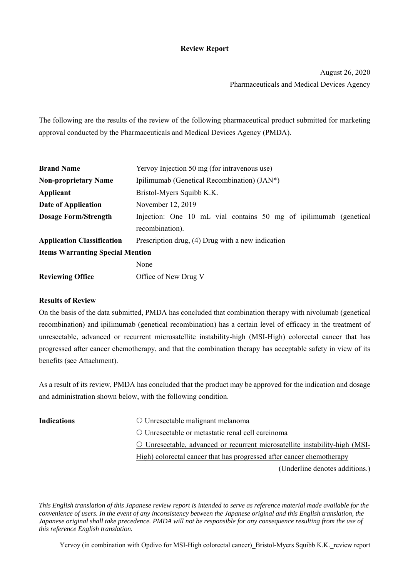### **Review Report**

August 26, 2020 Pharmaceuticals and Medical Devices Agency

The following are the results of the review of the following pharmaceutical product submitted for marketing approval conducted by the Pharmaceuticals and Medical Devices Agency (PMDA).

| <b>Brand Name</b>                       | Yervoy Injection 50 mg (for intravenous use)                      |  |  |  |  |
|-----------------------------------------|-------------------------------------------------------------------|--|--|--|--|
| <b>Non-proprietary Name</b>             | Ipilimumab (Genetical Recombination) (JAN*)                       |  |  |  |  |
| Applicant                               | Bristol-Myers Squibb K.K.                                         |  |  |  |  |
| Date of Application                     | November 12, 2019                                                 |  |  |  |  |
| <b>Dosage Form/Strength</b>             | Injection: One 10 mL vial contains 50 mg of ipilimumab (genetical |  |  |  |  |
|                                         | recombination).                                                   |  |  |  |  |
| <b>Application Classification</b>       | Prescription drug, (4) Drug with a new indication                 |  |  |  |  |
| <b>Items Warranting Special Mention</b> |                                                                   |  |  |  |  |
|                                         | None                                                              |  |  |  |  |
| <b>Reviewing Office</b>                 | Office of New Drug V                                              |  |  |  |  |

#### **Results of Review**

On the basis of the data submitted, PMDA has concluded that combination therapy with nivolumab (genetical recombination) and ipilimumab (genetical recombination) has a certain level of efficacy in the treatment of unresectable, advanced or recurrent microsatellite instability-high (MSI-High) colorectal cancer that has progressed after cancer chemotherapy, and that the combination therapy has acceptable safety in view of its benefits (see Attachment).

As a result of its review, PMDA has concluded that the product may be approved for the indication and dosage and administration shown below, with the following condition.

- **Indications**  $\bigcirc$  Unresectable malignant melanoma
	- Unresectable or metastatic renal cell carcinoma
	- Unresectable, advanced or recurrent microsatellite instability-high (MSI-

High) colorectal cancer that has progressed after cancer chemotherapy

(Underline denotes additions.)

*This English translation of this Japanese review report is intended to serve as reference material made available for the convenience of users. In the event of any inconsistency between the Japanese original and this English translation, the Japanese original shall take precedence. PMDA will not be responsible for any consequence resulting from the use of this reference English translation.* 

Yervoy (in combination with Opdivo for MSI-High colorectal cancer) Bristol-Myers Squibb K.K. review report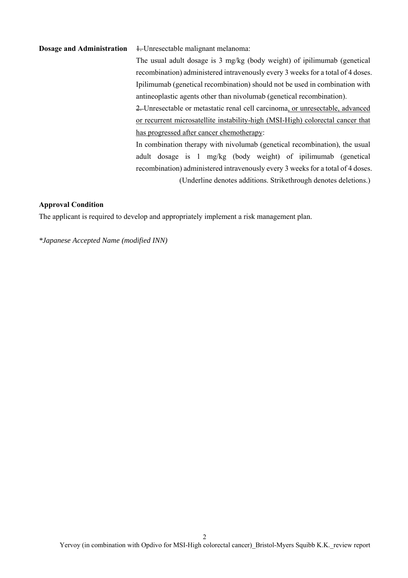# **Dosage and Administration 1.** Unresectable malignant melanoma: The usual adult dosage is 3 mg/kg (body weight) of ipilimumab (genetical recombination) administered intravenously every 3 weeks for a total of 4 doses. Ipilimumab (genetical recombination) should not be used in combination with antineoplastic agents other than nivolumab (genetical recombination). 2. Unresectable or metastatic renal cell carcinoma, or unresectable, advanced or recurrent microsatellite instability-high (MSI-High) colorectal cancer that has progressed after cancer chemotherapy: In combination therapy with nivolumab (genetical recombination), the usual adult dosage is 1 mg/kg (body weight) of ipilimumab (genetical recombination) administered intravenously every 3 weeks for a total of 4 doses. (Underline denotes additions. Strikethrough denotes deletions.)

#### **Approval Condition**

The applicant is required to develop and appropriately implement a risk management plan.

*\*Japanese Accepted Name (modified INN)*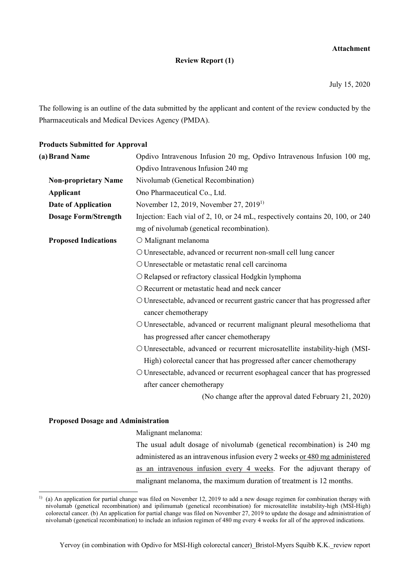### **Attachment**

### **Review Report (1)**

July 15, 2020

The following is an outline of the data submitted by the applicant and content of the review conducted by the Pharmaceuticals and Medical Devices Agency (PMDA).

#### **Products Submitted for Approval**

| (a) Brand Name              | Opdivo Intravenous Infusion 20 mg, Opdivo Intravenous Infusion 100 mg,         |
|-----------------------------|--------------------------------------------------------------------------------|
|                             | Opdivo Intravenous Infusion 240 mg                                             |
| <b>Non-proprietary Name</b> | Nivolumab (Genetical Recombination)                                            |
| <b>Applicant</b>            | Ono Pharmaceutical Co., Ltd.                                                   |
| Date of Application         | November 12, 2019, November 27, 2019 <sup>1)</sup>                             |
| <b>Dosage Form/Strength</b> | Injection: Each vial of 2, 10, or 24 mL, respectively contains 20, 100, or 240 |
|                             | mg of nivolumab (genetical recombination).                                     |
| <b>Proposed Indications</b> | O Malignant melanoma                                                           |
|                             | O Unresectable, advanced or recurrent non-small cell lung cancer               |
|                             | O Unresectable or metastatic renal cell carcinoma                              |
|                             | O Relapsed or refractory classical Hodgkin lymphoma                            |
|                             | O Recurrent or metastatic head and neck cancer                                 |
|                             | O Unresectable, advanced or recurrent gastric cancer that has progressed after |
|                             | cancer chemotherapy                                                            |
|                             | O Unresectable, advanced or recurrent malignant pleural mesothelioma that      |
|                             | has progressed after cancer chemotherapy                                       |
|                             | O Unresectable, advanced or recurrent microsatellite instability-high (MSI-    |
|                             | High) colorectal cancer that has progressed after cancer chemotherapy          |
|                             | O Unresectable, advanced or recurrent esophageal cancer that has progressed    |
|                             | after cancer chemotherapy                                                      |
|                             | (No change after the approval dated February 21, 2020)                         |

#### **Proposed Dosage and Administration**

l

Malignant melanoma:

The usual adult dosage of nivolumab (genetical recombination) is 240 mg administered as an intravenous infusion every 2 weeks or 480 mg administered as an intravenous infusion every 4 weeks. For the adjuvant therapy of malignant melanoma, the maximum duration of treatment is 12 months.

<sup>&</sup>lt;sup>1)</sup> (a) An application for partial change was filed on November 12, 2019 to add a new dosage regimen for combination therapy with nivolumab (genetical recombination) and ipilimumab (genetical recombination) for microsatellite instability-high (MSI-High) colorectal cancer. (b) An application for partial change was filed on November 27, 2019 to update the dosage and administration of nivolumab (genetical recombination) to include an infusion regimen of 480 mg every 4 weeks for all of the approved indications.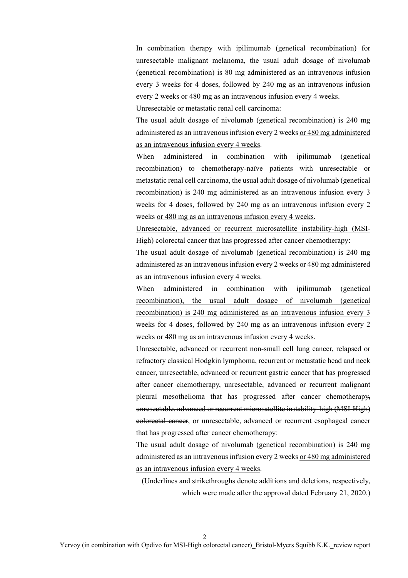In combination therapy with ipilimumab (genetical recombination) for unresectable malignant melanoma, the usual adult dosage of nivolumab (genetical recombination) is 80 mg administered as an intravenous infusion every 3 weeks for 4 doses, followed by 240 mg as an intravenous infusion every 2 weeks or 480 mg as an intravenous infusion every 4 weeks.

Unresectable or metastatic renal cell carcinoma:

The usual adult dosage of nivolumab (genetical recombination) is 240 mg administered as an intravenous infusion every 2 weeks or 480 mg administered as an intravenous infusion every 4 weeks.

When administered in combination with ipilimumab (genetical recombination) to chemotherapy-naïve patients with unresectable or metastatic renal cell carcinoma, the usual adult dosage of nivolumab (genetical recombination) is 240 mg administered as an intravenous infusion every 3 weeks for 4 doses, followed by 240 mg as an intravenous infusion every 2 weeks or 480 mg as an intravenous infusion every 4 weeks.

Unresectable, advanced or recurrent microsatellite instability-high (MSI-High) colorectal cancer that has progressed after cancer chemotherapy:

The usual adult dosage of nivolumab (genetical recombination) is 240 mg administered as an intravenous infusion every 2 weeks or 480 mg administered as an intravenous infusion every 4 weeks.

When administered in combination with ipilimumab (genetical recombination), the usual adult dosage of nivolumab (genetical recombination) is 240 mg administered as an intravenous infusion every 3 weeks for 4 doses, followed by 240 mg as an intravenous infusion every 2 weeks or 480 mg as an intravenous infusion every 4 weeks.

Unresectable, advanced or recurrent non-small cell lung cancer, relapsed or refractory classical Hodgkin lymphoma, recurrent or metastatic head and neck cancer, unresectable, advanced or recurrent gastric cancer that has progressed after cancer chemotherapy, unresectable, advanced or recurrent malignant pleural mesothelioma that has progressed after cancer chemotherapy, unresectable, advanced or recurrent microsatellite instability-high (MSI-High) colorectal cancer, or unresectable, advanced or recurrent esophageal cancer that has progressed after cancer chemotherapy:

The usual adult dosage of nivolumab (genetical recombination) is 240 mg administered as an intravenous infusion every 2 weeks or 480 mg administered as an intravenous infusion every 4 weeks.

(Underlines and strikethroughs denote additions and deletions, respectively, which were made after the approval dated February 21, 2020.)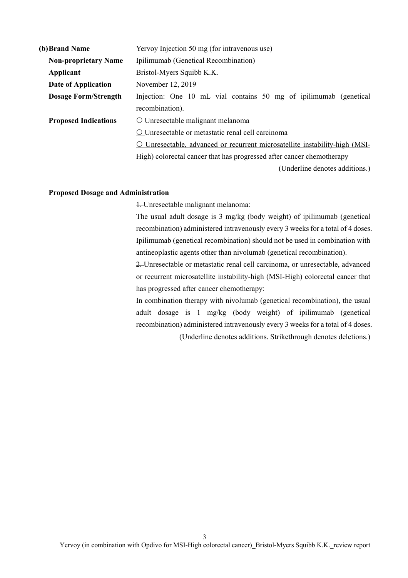| (b) Brand Name              | Yervoy Injection 50 mg (for intravenous use)                                        |  |  |  |  |
|-----------------------------|-------------------------------------------------------------------------------------|--|--|--|--|
| <b>Non-proprietary Name</b> | Ipilimumab (Genetical Recombination)                                                |  |  |  |  |
| Applicant                   | Bristol-Myers Squibb K.K.                                                           |  |  |  |  |
| Date of Application         | November 12, 2019                                                                   |  |  |  |  |
| <b>Dosage Form/Strength</b> | Injection: One 10 mL vial contains 50 mg of ipilimumab (genetical                   |  |  |  |  |
|                             | recombination).                                                                     |  |  |  |  |
| <b>Proposed Indications</b> | $\Omega$ Unresectable malignant melanoma                                            |  |  |  |  |
|                             | O Unresectable or metastatic renal cell carcinoma                                   |  |  |  |  |
|                             | Unresectable, advanced or recurrent microsatellite instability-high (MSI-<br>$\cup$ |  |  |  |  |
|                             | High) colorectal cancer that has progressed after cancer chemotherapy               |  |  |  |  |
|                             | (Underline denotes additions.)                                                      |  |  |  |  |

#### **Proposed Dosage and Administration**

1. Unresectable malignant melanoma:

The usual adult dosage is 3 mg/kg (body weight) of ipilimumab (genetical recombination) administered intravenously every 3 weeks for a total of 4 doses. Ipilimumab (genetical recombination) should not be used in combination with antineoplastic agents other than nivolumab (genetical recombination).

2. Unresectable or metastatic renal cell carcinoma, or unresectable, advanced or recurrent microsatellite instability-high (MSI-High) colorectal cancer that has progressed after cancer chemotherapy:

In combination therapy with nivolumab (genetical recombination), the usual adult dosage is 1 mg/kg (body weight) of ipilimumab (genetical recombination) administered intravenously every 3 weeks for a total of 4 doses.

(Underline denotes additions. Strikethrough denotes deletions.)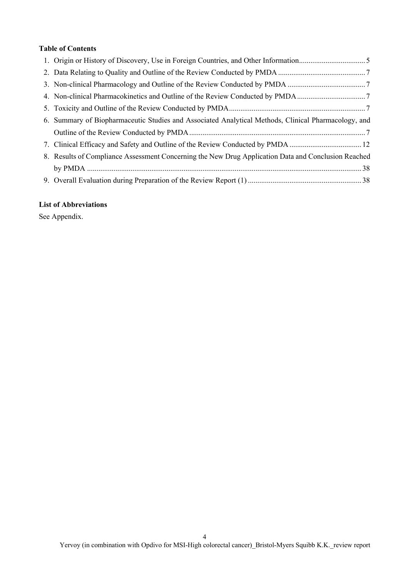### **Table of Contents**

| 4. Non-clinical Pharmacokinetics and Outline of the Review Conducted by PMDA7                       |
|-----------------------------------------------------------------------------------------------------|
|                                                                                                     |
| 6. Summary of Biopharmaceutic Studies and Associated Analytical Methods, Clinical Pharmacology, and |
|                                                                                                     |
| 7. Clinical Efficacy and Safety and Outline of the Review Conducted by PMDA  12                     |
| 8. Results of Compliance Assessment Concerning the New Drug Application Data and Conclusion Reached |
|                                                                                                     |
|                                                                                                     |

### **List of Abbreviations**

See Appendix.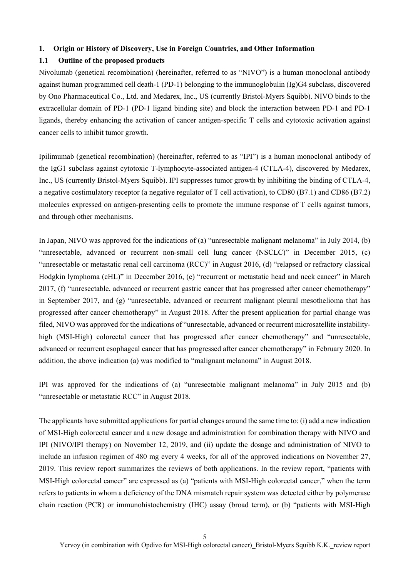#### **1. Origin or History of Discovery, Use in Foreign Countries, and Other Information**

#### **1.1 Outline of the proposed products**

Nivolumab (genetical recombination) (hereinafter, referred to as "NIVO") is a human monoclonal antibody against human programmed cell death-1 (PD-1) belonging to the immunoglobulin (Ig)G4 subclass, discovered by Ono Pharmaceutical Co., Ltd. and Medarex, Inc., US (currently Bristol-Myers Squibb). NIVO binds to the extracellular domain of PD-1 (PD-1 ligand binding site) and block the interaction between PD-1 and PD-1 ligands, thereby enhancing the activation of cancer antigen-specific T cells and cytotoxic activation against cancer cells to inhibit tumor growth.

Ipilimumab (genetical recombination) (hereinafter, referred to as "IPI") is a human monoclonal antibody of the IgG1 subclass against cytotoxic T-lymphocyte-associated antigen-4 (CTLA-4), discovered by Medarex, Inc., US (currently Bristol-Myers Squibb). IPI suppresses tumor growth by inhibiting the binding of CTLA-4, a negative costimulatory receptor (a negative regulator of T cell activation), to CD80 (B7.1) and CD86 (B7.2) molecules expressed on antigen-presenting cells to promote the immune response of T cells against tumors, and through other mechanisms.

In Japan, NIVO was approved for the indications of (a) "unresectable malignant melanoma" in July 2014, (b) "unresectable, advanced or recurrent non-small cell lung cancer (NSCLC)" in December 2015, (c) "unresectable or metastatic renal cell carcinoma (RCC)" in August 2016, (d) "relapsed or refractory classical Hodgkin lymphoma (cHL)" in December 2016, (e) "recurrent or metastatic head and neck cancer" in March 2017, (f) "unresectable, advanced or recurrent gastric cancer that has progressed after cancer chemotherapy" in September 2017, and (g) "unresectable, advanced or recurrent malignant pleural mesothelioma that has progressed after cancer chemotherapy" in August 2018. After the present application for partial change was filed, NIVO was approved for the indications of "unresectable, advanced or recurrent microsatellite instabilityhigh (MSI-High) colorectal cancer that has progressed after cancer chemotherapy" and "unresectable, advanced or recurrent esophageal cancer that has progressed after cancer chemotherapy" in February 2020. In addition, the above indication (a) was modified to "malignant melanoma" in August 2018.

IPI was approved for the indications of (a) "unresectable malignant melanoma" in July 2015 and (b) "unresectable or metastatic RCC" in August 2018.

The applicants have submitted applications for partial changes around the same time to: (i) add a new indication of MSI-High colorectal cancer and a new dosage and administration for combination therapy with NIVO and IPI (NIVO/IPI therapy) on November 12, 2019, and (ii) update the dosage and administration of NIVO to include an infusion regimen of 480 mg every 4 weeks, for all of the approved indications on November 27, 2019. This review report summarizes the reviews of both applications. In the review report, "patients with MSI-High colorectal cancer" are expressed as (a) "patients with MSI-High colorectal cancer," when the term refers to patients in whom a deficiency of the DNA mismatch repair system was detected either by polymerase chain reaction (PCR) or immunohistochemistry (IHC) assay (broad term), or (b) "patients with MSI-High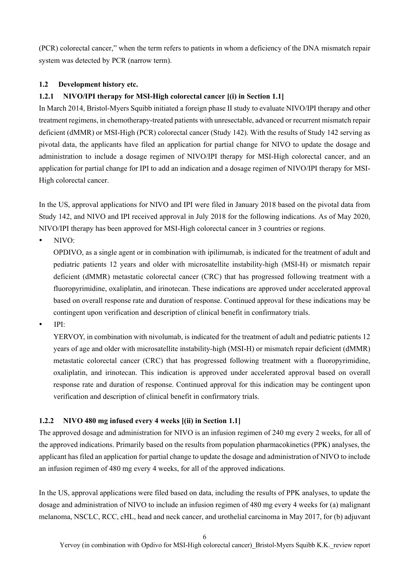(PCR) colorectal cancer," when the term refers to patients in whom a deficiency of the DNA mismatch repair system was detected by PCR (narrow term).

### **1.2 Development history etc.**

### **1.2.1 NIVO/IPI therapy for MSI-High colorectal cancer [(i) in Section 1.1]**

In March 2014, Bristol-Myers Squibb initiated a foreign phase II study to evaluate NIVO/IPI therapy and other treatment regimens, in chemotherapy-treated patients with unresectable, advanced or recurrent mismatch repair deficient (dMMR) or MSI-High (PCR) colorectal cancer (Study 142). With the results of Study 142 serving as pivotal data, the applicants have filed an application for partial change for NIVO to update the dosage and administration to include a dosage regimen of NIVO/IPI therapy for MSI-High colorectal cancer, and an application for partial change for IPI to add an indication and a dosage regimen of NIVO/IPI therapy for MSI-High colorectal cancer.

In the US, approval applications for NIVO and IPI were filed in January 2018 based on the pivotal data from Study 142, and NIVO and IPI received approval in July 2018 for the following indications. As of May 2020, NIVO/IPI therapy has been approved for MSI-High colorectal cancer in 3 countries or regions.

NIVO:

OPDIVO, as a single agent or in combination with ipilimumab, is indicated for the treatment of adult and pediatric patients 12 years and older with microsatellite instability-high (MSI-H) or mismatch repair deficient (dMMR) metastatic colorectal cancer (CRC) that has progressed following treatment with a fluoropyrimidine, oxaliplatin, and irinotecan. These indications are approved under accelerated approval based on overall response rate and duration of response. Continued approval for these indications may be contingent upon verification and description of clinical benefit in confirmatory trials.

IPI:

YERVOY, in combination with nivolumab, is indicated for the treatment of adult and pediatric patients 12 years of age and older with microsatellite instability-high (MSI-H) or mismatch repair deficient (dMMR) metastatic colorectal cancer (CRC) that has progressed following treatment with a fluoropyrimidine, oxaliplatin, and irinotecan. This indication is approved under accelerated approval based on overall response rate and duration of response. Continued approval for this indication may be contingent upon verification and description of clinical benefit in confirmatory trials.

### **1.2.2 NIVO 480 mg infused every 4 weeks [(ii) in Section 1.1]**

The approved dosage and administration for NIVO is an infusion regimen of 240 mg every 2 weeks, for all of the approved indications. Primarily based on the results from population pharmacokinetics (PPK) analyses, the applicant has filed an application for partial change to update the dosage and administration of NIVO to include an infusion regimen of 480 mg every 4 weeks, for all of the approved indications.

In the US, approval applications were filed based on data, including the results of PPK analyses, to update the dosage and administration of NIVO to include an infusion regimen of 480 mg every 4 weeks for (a) malignant melanoma, NSCLC, RCC, cHL, head and neck cancer, and urothelial carcinoma in May 2017, for (b) adjuvant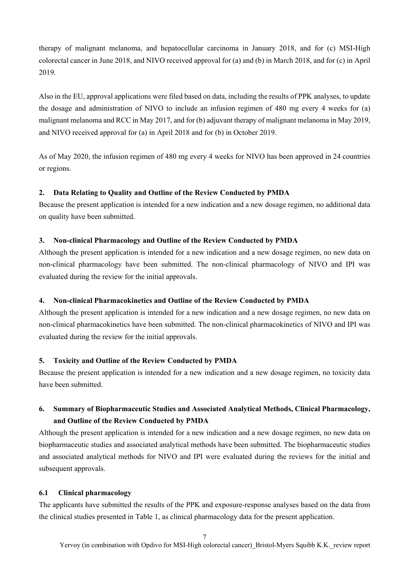therapy of malignant melanoma, and hepatocellular carcinoma in January 2018, and for (c) MSI-High colorectal cancer in June 2018, and NIVO received approval for (a) and (b) in March 2018, and for (c) in April 2019.

Also in the EU, approval applications were filed based on data, including the results of PPK analyses, to update the dosage and administration of NIVO to include an infusion regimen of 480 mg every 4 weeks for (a) malignant melanoma and RCC in May 2017, and for (b) adjuvant therapy of malignant melanoma in May 2019, and NIVO received approval for (a) in April 2018 and for (b) in October 2019.

As of May 2020, the infusion regimen of 480 mg every 4 weeks for NIVO has been approved in 24 countries or regions.

### **2. Data Relating to Quality and Outline of the Review Conducted by PMDA**

Because the present application is intended for a new indication and a new dosage regimen, no additional data on quality have been submitted.

### **3. Non-clinical Pharmacology and Outline of the Review Conducted by PMDA**

Although the present application is intended for a new indication and a new dosage regimen, no new data on non-clinical pharmacology have been submitted. The non-clinical pharmacology of NIVO and IPI was evaluated during the review for the initial approvals.

### **4. Non-clinical Pharmacokinetics and Outline of the Review Conducted by PMDA**

Although the present application is intended for a new indication and a new dosage regimen, no new data on non-clinical pharmacokinetics have been submitted. The non-clinical pharmacokinetics of NIVO and IPI was evaluated during the review for the initial approvals.

### **5. Toxicity and Outline of the Review Conducted by PMDA**

Because the present application is intended for a new indication and a new dosage regimen, no toxicity data have been submitted.

# **6. Summary of Biopharmaceutic Studies and Associated Analytical Methods, Clinical Pharmacology, and Outline of the Review Conducted by PMDA**

Although the present application is intended for a new indication and a new dosage regimen, no new data on biopharmaceutic studies and associated analytical methods have been submitted. The biopharmaceutic studies and associated analytical methods for NIVO and IPI were evaluated during the reviews for the initial and subsequent approvals.

### **6.1 Clinical pharmacology**

The applicants have submitted the results of the PPK and exposure-response analyses based on the data from the clinical studies presented in Table 1, as clinical pharmacology data for the present application.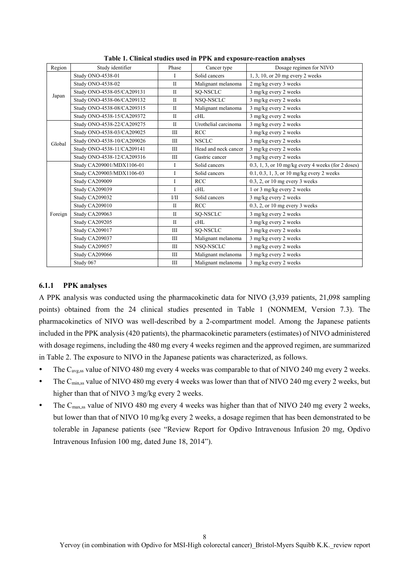| Region  | Study identifier           | Phase        | Cancer type          | Dosage regimen for NIVO                                         |  |
|---------|----------------------------|--------------|----------------------|-----------------------------------------------------------------|--|
|         | Study ONO-4538-01          | I            | Solid cancers        | 1, 3, 10, or 20 mg every 2 weeks                                |  |
|         | Study ONO-4538-02          | $\rm II$     | Malignant melanoma   | 2 mg/kg every 3 weeks                                           |  |
|         | Study ONO-4538-05/CA209131 | $\mathbf{I}$ | SQ-NSCLC             | 3 mg/kg every 2 weeks                                           |  |
| Japan   | Study ONO-4538-06/CA209132 | $\mathbf{I}$ | NSQ-NSCLC            | 3 mg/kg every 2 weeks                                           |  |
|         | Study ONO-4538-08/CA209315 | $\mathbf{I}$ | Malignant melanoma   | 3 mg/kg every 2 weeks                                           |  |
|         | Study ONO-4538-15/CA209372 | $\mathbf{I}$ | cHL                  | 3 mg/kg every 2 weeks                                           |  |
|         | Study ONO-4538-22/CA209275 | $\mathbf{I}$ | Urothelial carcinoma | 3 mg/kg every 2 weeks                                           |  |
|         | Study ONO-4538-03/CA209025 | Ш            | <b>RCC</b>           | 3 mg/kg every 2 weeks                                           |  |
| Global  | Study ONO-4538-10/CA209026 | Ш            | <b>NSCLC</b>         | 3 mg/kg every 2 weeks                                           |  |
|         | Study ONO-4538-11/CA209141 | Ш            | Head and neck cancer | 3 mg/kg every 2 weeks                                           |  |
|         | Study ONO-4538-12/CA209316 | Ш            | Gastric cancer       | 3 mg/kg every 2 weeks                                           |  |
|         | Study CA209001/MDX1106-01  | I            | Solid cancers        | $0.3, 1, 3$ , or $10 \text{ mg/kg}$ every 4 weeks (for 2 doses) |  |
|         | Study CA209003/MDX1106-03  | I            | Solid cancers        | 0.1, 0.3, 1, 3, or 10 mg/kg every 2 weeks                       |  |
|         | <b>Study CA209009</b>      | I            | <b>RCC</b>           | $0.3$ , 2, or 10 mg every 3 weeks                               |  |
|         | <b>Study CA209039</b>      | L            | cHL                  | 1 or 3 mg/kg every 2 weeks                                      |  |
|         | <b>Study CA209032</b>      | $V$ II       | Solid cancers        | 3 mg/kg every 2 weeks                                           |  |
|         | Study CA209010             | $\mathbf{I}$ | <b>RCC</b>           | $0.3$ , 2, or 10 mg every 3 weeks                               |  |
| Foreign | Study CA209063             | $\mathbf{I}$ | SQ-NSCLC             | 3 mg/kg every 2 weeks                                           |  |
|         | <b>Study CA209205</b>      | $\mathbf{I}$ | cHL                  | 3 mg/kg every 2 weeks                                           |  |
|         | <b>Study CA209017</b>      | Ш            | SO-NSCLC             | 3 mg/kg every 2 weeks                                           |  |
|         | Study CA209037             | Ш            | Malignant melanoma   | 3 mg/kg every 2 weeks                                           |  |
|         | Study CA209057             | Ш            | NSQ-NSCLC            | 3 mg/kg every 2 weeks                                           |  |
|         | Study CA209066             | Ш            | Malignant melanoma   | 3 mg/kg every 2 weeks                                           |  |
|         | Study 067                  | Ш            | Malignant melanoma   | 3 mg/kg every 2 weeks                                           |  |

**Table 1. Clinical studies used in PPK and exposure-reaction analyses** 

#### **6.1.1 PPK analyses**

A PPK analysis was conducted using the pharmacokinetic data for NIVO (3,939 patients, 21,098 sampling points) obtained from the 24 clinical studies presented in Table 1 (NONMEM, Version 7.3). The pharmacokinetics of NIVO was well-described by a 2-compartment model. Among the Japanese patients included in the PPK analysis (420 patients), the pharmacokinetic parameters (estimates) of NIVO administered with dosage regimens, including the 480 mg every 4 weeks regimen and the approved regimen, are summarized in Table 2. The exposure to NIVO in the Japanese patients was characterized, as follows.

- The  $C_{\text{avg,ss}}$  value of NIVO 480 mg every 4 weeks was comparable to that of NIVO 240 mg every 2 weeks.
- The  $C_{\text{min,ss}}$  value of NIVO 480 mg every 4 weeks was lower than that of NIVO 240 mg every 2 weeks, but higher than that of NIVO 3 mg/kg every 2 weeks.
- The  $C_{\text{max,ss}}$  value of NIVO 480 mg every 4 weeks was higher than that of NIVO 240 mg every 2 weeks, but lower than that of NIVO 10 mg/kg every 2 weeks, a dosage regimen that has been demonstrated to be tolerable in Japanese patients (see "Review Report for Opdivo Intravenous Infusion 20 mg, Opdivo Intravenous Infusion 100 mg, dated June 18, 2014").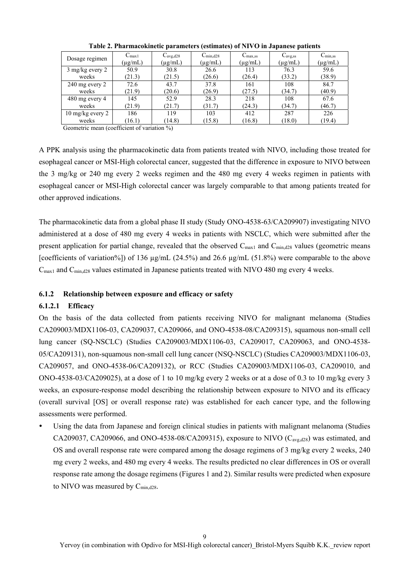| Dosage regimen             | $C_{\text{max1}}$ | $C_{avg,d28}$ | $C_{\text{min,d28}}$ | $C_{\text{max,ss}}$ | $C_{\text{avg,ss}}$ | $C_{\text{min,ss}}$ |
|----------------------------|-------------------|---------------|----------------------|---------------------|---------------------|---------------------|
|                            | $(\mu$ g/mL)      | $(\mu g/mL)$  | $(\mu g/mL)$         | $(\mu g/mL)$        | $(\mu g/mL)$        | (µg/mL)             |
| $3 \text{ mg/kg}$ every 2  | 50.9              | 30.8          | 26.6                 | 113                 | 76.3                | 59.6                |
| weeks                      | (21.3)            | (21.5)        | (26.6)               | (26.4)              | (33.2)              | (38.9)              |
| $240$ mg every $2$         | 72.6              | 43.7          | 37.8                 | 161                 | 108                 | 84.7                |
| weeks                      | (21.9)            | (20.6)        | (26.9)               | (27.5)              | (34.7)              | (40.9)              |
| 480 mg every 4             | 145               | 52.9          | 28.3                 | 218                 | 108                 | 67.6                |
| weeks                      | (21.9)            | (21.7)        | (31.7)               | (24.3)              | (34.7)              | (46.7)              |
| $10 \text{ mg/kg}$ every 2 | 186               | 119           | 103                  | 412                 | 287                 | 226                 |
| weeks                      | (16.1)            | (14.8)        | (15.8)               | (16.8)              | (18.0)              | (19.4)              |

**Table 2. Pharmacokinetic parameters (estimates) of NIVO in Japanese patients** 

Geometric mean (coefficient of variation %)

A PPK analysis using the pharmacokinetic data from patients treated with NIVO, including those treated for esophageal cancer or MSI-High colorectal cancer, suggested that the difference in exposure to NIVO between the 3 mg/kg or 240 mg every 2 weeks regimen and the 480 mg every 4 weeks regimen in patients with esophageal cancer or MSI-High colorectal cancer was largely comparable to that among patients treated for other approved indications.

The pharmacokinetic data from a global phase II study (Study ONO-4538-63/CA209907) investigating NIVO administered at a dose of 480 mg every 4 weeks in patients with NSCLC, which were submitted after the present application for partial change, revealed that the observed  $C_{\text{max1}}$  and  $C_{\text{min,d28}}$  values (geometric means [coefficients of variation%]) of 136 µg/mL (24.5%) and 26.6 µg/mL (51.8%) were comparable to the above  $C_{\text{max1}}$  and  $C_{\text{min,d28}}$  values estimated in Japanese patients treated with NIVO 480 mg every 4 weeks.

### **6.1.2 Relationship between exposure and efficacy or safety**

#### **6.1.2.1 Efficacy**

On the basis of the data collected from patients receiving NIVO for malignant melanoma (Studies CA209003/MDX1106-03, CA209037, CA209066, and ONO-4538-08/CA209315), squamous non-small cell lung cancer (SQ-NSCLC) (Studies CA209003/MDX1106-03, CA209017, CA209063, and ONO-4538- 05/CA209131), non-squamous non-small cell lung cancer (NSQ-NSCLC) (Studies CA209003/MDX1106-03, CA209057, and ONO-4538-06/CA209132), or RCC (Studies CA209003/MDX1106-03, CA209010, and ONO-4538-03/CA209025), at a dose of 1 to 10 mg/kg every 2 weeks or at a dose of 0.3 to 10 mg/kg every 3 weeks, an exposure-response model describing the relationship between exposure to NIVO and its efficacy (overall survival [OS] or overall response rate) was established for each cancer type, and the following assessments were performed.

 Using the data from Japanese and foreign clinical studies in patients with malignant melanoma (Studies CA209037, CA209066, and ONO-4538-08/CA209315), exposure to NIVO  $(C_{\text{avg,d28}})$  was estimated, and OS and overall response rate were compared among the dosage regimens of 3 mg/kg every 2 weeks, 240 mg every 2 weeks, and 480 mg every 4 weeks. The results predicted no clear differences in OS or overall response rate among the dosage regimens (Figures 1 and 2). Similar results were predicted when exposure to NIVO was measured by C<sub>min,d28</sub>.

 $\mathbf Q$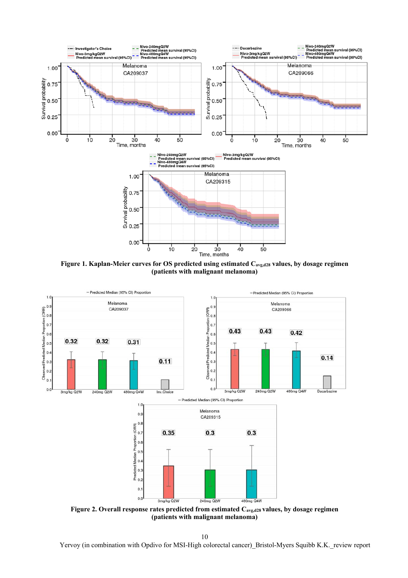

Figure 1. Kaplan-Meier curves for OS predicted using estimated C<sub>avg,d28</sub> values, by dosage regimen **(patients with malignant melanoma)** 



**(patients with malignant melanoma)** 

10

Yervoy (in combination with Opdivo for MSI-High colorectal cancer) Bristol-Myers Squibb K.K. review report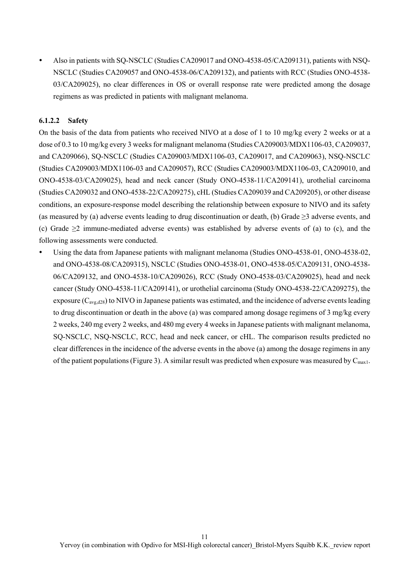Also in patients with SQ-NSCLC (Studies CA209017 and ONO-4538-05/CA209131), patients with NSQ-NSCLC (Studies CA209057 and ONO-4538-06/CA209132), and patients with RCC (Studies ONO-4538- 03/CA209025), no clear differences in OS or overall response rate were predicted among the dosage regimens as was predicted in patients with malignant melanoma.

### **6.1.2.2 Safety**

On the basis of the data from patients who received NIVO at a dose of 1 to 10 mg/kg every 2 weeks or at a dose of 0.3 to 10 mg/kg every 3 weeks for malignant melanoma (Studies CA209003/MDX1106-03, CA209037, and CA209066), SQ-NSCLC (Studies CA209003/MDX1106-03, CA209017, and CA209063), NSQ-NSCLC (Studies CA209003/MDX1106-03 and CA209057), RCC (Studies CA209003/MDX1106-03, CA209010, and ONO-4538-03/CA209025), head and neck cancer (Study ONO-4538-11/CA209141), urothelial carcinoma (Studies CA209032 and ONO-4538-22/CA209275), cHL (Studies CA209039 and CA209205), or other disease conditions, an exposure-response model describing the relationship between exposure to NIVO and its safety (as measured by (a) adverse events leading to drug discontinuation or death, (b) Grade  $\geq$ 3 adverse events, and (c) Grade ≥2 immune-mediated adverse events) was established by adverse events of (a) to (c), and the following assessments were conducted.

 Using the data from Japanese patients with malignant melanoma (Studies ONO-4538-01, ONO-4538-02, and ONO-4538-08/CA209315), NSCLC (Studies ONO-4538-01, ONO-4538-05/CA209131, ONO-4538- 06/CA209132, and ONO-4538-10/CA209026), RCC (Study ONO-4538-03/CA209025), head and neck cancer (Study ONO-4538-11/CA209141), or urothelial carcinoma (Study ONO-4538-22/CA209275), the exposure  $(C_{\text{avg},d28})$  to NIVO in Japanese patients was estimated, and the incidence of adverse events leading to drug discontinuation or death in the above (a) was compared among dosage regimens of 3 mg/kg every 2 weeks, 240 mg every 2 weeks, and 480 mg every 4 weeks in Japanese patients with malignant melanoma, SQ-NSCLC, NSQ-NSCLC, RCC, head and neck cancer, or cHL. The comparison results predicted no clear differences in the incidence of the adverse events in the above (a) among the dosage regimens in any of the patient populations (Figure 3). A similar result was predicted when exposure was measured by  $C_{\text{max1}}$ .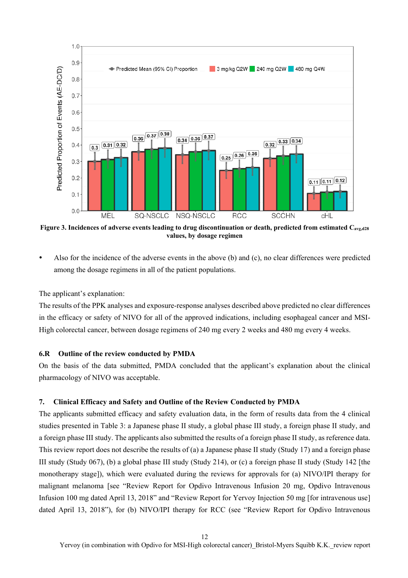

**Figure 3. Incidences of adverse events leading to drug discontinuation or death, predicted from estimated Cavg,d28 values, by dosage regimen** 

 Also for the incidence of the adverse events in the above (b) and (c), no clear differences were predicted among the dosage regimens in all of the patient populations.

The applicant's explanation:

The results of the PPK analyses and exposure-response analyses described above predicted no clear differences in the efficacy or safety of NIVO for all of the approved indications, including esophageal cancer and MSI-High colorectal cancer, between dosage regimens of 240 mg every 2 weeks and 480 mg every 4 weeks.

#### **6.R Outline of the review conducted by PMDA**

On the basis of the data submitted, PMDA concluded that the applicant's explanation about the clinical pharmacology of NIVO was acceptable.

### **7. Clinical Efficacy and Safety and Outline of the Review Conducted by PMDA**

The applicants submitted efficacy and safety evaluation data, in the form of results data from the 4 clinical studies presented in Table 3: a Japanese phase II study, a global phase III study, a foreign phase II study, and a foreign phase III study. The applicants also submitted the results of a foreign phase II study, as reference data. This review report does not describe the results of (a) a Japanese phase II study (Study 17) and a foreign phase III study (Study 067), (b) a global phase III study (Study 214), or (c) a foreign phase II study (Study 142 [the monotherapy stage]), which were evaluated during the reviews for approvals for (a) NIVO/IPI therapy for malignant melanoma [see "Review Report for Opdivo Intravenous Infusion 20 mg, Opdivo Intravenous Infusion 100 mg dated April 13, 2018" and "Review Report for Yervoy Injection 50 mg [for intravenous use] dated April 13, 2018"), for (b) NIVO/IPI therapy for RCC (see "Review Report for Opdivo Intravenous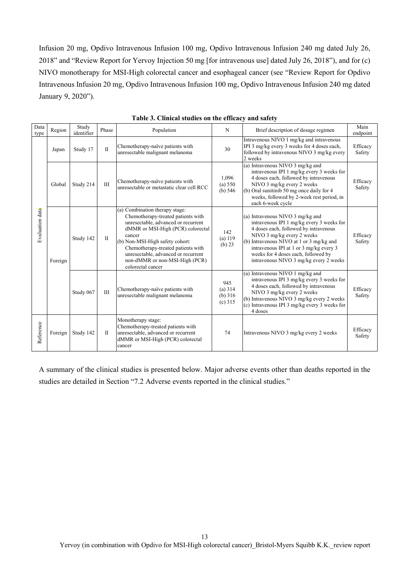Infusion 20 mg, Opdivo Intravenous Infusion 100 mg, Opdivo Intravenous Infusion 240 mg dated July 26, 2018" and "Review Report for Yervoy Injection 50 mg [for intravenous use] dated July 26, 2018"), and for (c) NIVO monotherapy for MSI-High colorectal cancer and esophageal cancer (see "Review Report for Opdivo Intravenous Infusion 20 mg, Opdivo Intravenous Infusion 100 mg, Opdivo Intravenous Infusion 240 mg dated January 9, 2020").

| Data<br>type    | Region  | Study<br>identifier | Phase        | Population                                                                                                                                                                                                                                                                                                                        | N                                        | Brief description of dosage regimen                                                                                                                                                                                                                                                                                          | Main<br>endpoint   |
|-----------------|---------|---------------------|--------------|-----------------------------------------------------------------------------------------------------------------------------------------------------------------------------------------------------------------------------------------------------------------------------------------------------------------------------------|------------------------------------------|------------------------------------------------------------------------------------------------------------------------------------------------------------------------------------------------------------------------------------------------------------------------------------------------------------------------------|--------------------|
|                 | Japan   | Study 17            | $\mathbf{I}$ | Chemotherapy-naïve patients with<br>unresectable malignant melanoma                                                                                                                                                                                                                                                               | 30                                       | Intravenous NIVO 1 mg/kg and intravenous<br>IPI 3 mg/kg every 3 weeks for 4 doses each,<br>followed by intravenous NIVO 3 mg/kg every<br>2 weeks                                                                                                                                                                             | Efficacy<br>Safety |
|                 | Global  | Study 214           | III          | Chemotherapy-naïve patients with<br>unresectable or metastatic clear cell RCC                                                                                                                                                                                                                                                     | 1,096<br>(a) 550<br>(b) $546$            | (a) Intravenous NIVO 3 mg/kg and<br>intravenous IPI 1 mg/kg every 3 weeks for<br>4 doses each, followed by intravenous<br>NIVO 3 mg/kg every 2 weeks<br>(b) Oral sunitinib 50 mg once daily for 4<br>weeks, followed by 2-week rest period, in<br>each 6-week cycle                                                          | Efficacy<br>Safety |
| Evaluation data | Foreign | Study 142           | $\mathbf{I}$ | (a) Combination therapy stage:<br>Chemotherapy-treated patients with<br>unresectable, advanced or recurrent<br>dMMR or MSI-High (PCR) colorectal<br>cancer<br>(b) Non-MSI-High safety cohort:<br>Chemotherapy-treated patients with<br>unresectable, advanced or recurrent<br>non-dMMR or non-MSI-High (PCR)<br>colorectal cancer | 142<br>(a) 119<br>(b) 23                 | (a) Intravenous NIVO 3 mg/kg and<br>intravenous IPI 1 mg/kg every 3 weeks for<br>4 doses each, followed by intravenous<br>NIVO 3 mg/kg every 2 weeks<br>(b) Intravenous NIVO at 1 or 3 mg/kg and<br>intravenous IPI at 1 or 3 mg/kg every 3<br>weeks for 4 doses each, followed by<br>intravenous NIVO 3 mg/kg every 2 weeks | Efficacy<br>Safety |
|                 |         | Study 067           | III          | Chemotherapy-naïve patients with<br>unresectable malignant melanoma                                                                                                                                                                                                                                                               | 945<br>(a) 314<br>(b) $316$<br>$(c)$ 315 | (a) Intravenous NIVO 1 mg/kg and<br>intravenous IPI 3 mg/kg every 3 weeks for<br>4 doses each, followed by intravenous<br>NIVO 3 mg/kg every 2 weeks<br>(b) Intravenous NIVO 3 mg/kg every 2 weeks<br>(c) Intravenous IPI 3 mg/kg every 3 weeks for<br>4 doses                                                               | Efficacy<br>Safety |
| Reference       | Foreign | Study 142           | $\mathbf{I}$ | Monotherapy stage:<br>Chemotherapy-treated patients with<br>unresectable, advanced or recurrent<br>dMMR or MSI-High (PCR) colorectal<br>cancer                                                                                                                                                                                    | 74                                       | Intravenous NIVO 3 mg/kg every 2 weeks                                                                                                                                                                                                                                                                                       | Efficacy<br>Safety |

**Table 3. Clinical studies on the efficacy and safety** 

A summary of the clinical studies is presented below. Major adverse events other than deaths reported in the studies are detailed in Section "7.2 Adverse events reported in the clinical studies."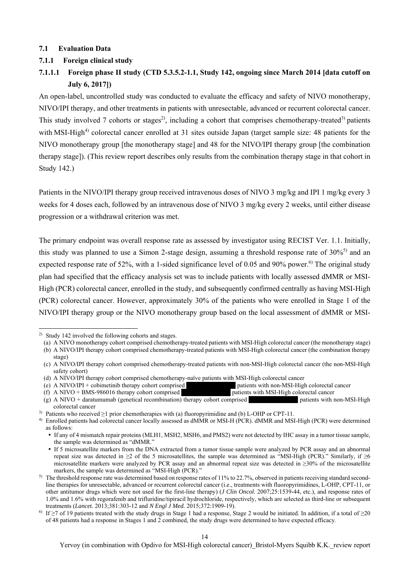#### **7.1 Evaluation Data**

#### **7.1.1 Foreign clinical study**

# **7.1.1.1 Foreign phase II study (CTD 5.3.5.2-1.1, Study 142, ongoing since March 2014 [data cutoff on July 6, 2017])**

An open-label, uncontrolled study was conducted to evaluate the efficacy and safety of NIVO monotherapy, NIVO/IPI therapy, and other treatments in patients with unresectable, advanced or recurrent colorectal cancer. This study involved 7 cohorts or stages<sup>2)</sup>, including a cohort that comprises chemotherapy-treated<sup>3)</sup> patients with MSI-High<sup>4)</sup> colorectal cancer enrolled at 31 sites outside Japan (target sample size: 48 patients for the NIVO monotherapy group [the monotherapy stage] and 48 for the NIVO/IPI therapy group [the combination therapy stage]). (This review report describes only results from the combination therapy stage in that cohort in Study 142.)

Patients in the NIVO/IPI therapy group received intravenous doses of NIVO 3 mg/kg and IPI 1 mg/kg every 3 weeks for 4 doses each, followed by an intravenous dose of NIVO 3 mg/kg every 2 weeks, until either disease progression or a withdrawal criterion was met.

The primary endpoint was overall response rate as assessed by investigator using RECIST Ver. 1.1. Initially, this study was planned to use a Simon 2-stage design, assuming a threshold response rate of  $30\%$ <sup>5)</sup> and an expected response rate of 52%, with a 1-sided significance level of 0.05 and 90% power.<sup>6)</sup> The original study plan had specified that the efficacy analysis set was to include patients with locally assessed dMMR or MSI-High (PCR) colorectal cancer, enrolled in the study, and subsequently confirmed centrally as having MSI-High (PCR) colorectal cancer. However, approximately 30% of the patients who were enrolled in Stage 1 of the NIVO/IPI therapy group or the NIVO monotherapy group based on the local assessment of dMMR or MSI-

l

<sup>2)</sup> Study 142 involved the following cohorts and stages.

<sup>(</sup>a) A NIVO monotherapy cohort comprised chemotherapy-treated patients with MSI-High colorectal cancer (the monotherapy stage) (b) A NIVO/IPI therapy cohort comprised chemotherapy-treated patients with MSI-High colorectal cancer (the combination therapy

stage)

<sup>(</sup>c) A NIVO/IPI therapy cohort comprised chemotherapy-treated patients with non-MSI-High colorectal cancer (the non-MSI-High safety cohort)

<sup>(</sup>d) A NIVO/IPI therapy cohort comprised chemotherapy-naïve patients with MSI-High colorectal cancer

<sup>(</sup>e) A NIVO/IPI + cobimetinib therapy cohort comprised \*\*\*\*\*\*\*\*\* patients with non-MSI-High colorectal cancer

<sup>(</sup>f) A NIVO + BMS-986016 therapy cohort comprised \*\*\*\*\*\*\*\*\*\*\*\*\*\*\*\* patients with MSI-High colorectal cancer

 $(g)$  A NIVO + daratumumab (genetical recombination) therapy cohort comprised **therapy** patients with non-MSI-High colorectal cancer

<sup>3)</sup> Patients who received ≥1 prior chemotherapies with (a) fluoropyrimidine and (b) L-OHP or CPT-11.

<sup>4)</sup> Enrolled patients had colorectal cancer locally assessed as dMMR or MSI-H (PCR). dMMR and MSI-High (PCR) were determined as follows:

If any of 4 mismatch repair proteins (MLH1, MSH2, MSH6, and PMS2) were not detected by IHC assay in a tumor tissue sample, the sample was determined as "dMMR."

If 5 microsatellite markers from the DNA extracted from a tumor tissue sample were analyzed by PCR assay and an abnormal repeat size was detected in  $\geq 2$  of the 5 microsatellites, the sample was determined as "MSI-High (PCR)." Similarly, if  $\geq 6$ microsatellite markers were analyzed by PCR assay and an abnormal repeat size was detected in ≥30% of the microsatellite markers, the sample was determined as "MSI-High (PCR)."

<sup>&</sup>lt;sup>5)</sup> The threshold response rate was determined based on response rates of 11% to 22.7%, observed in patients receiving standard secondline therapies for unresectable, advanced or recurrent colorectal cancer (i.e., treatments with fluoropyrimidines, L-OHP, CPT-11, or other antitumor drugs which were not used for the first-line therapy) (*J Clin Oncol.* 2007;25:1539-44, etc.), and response rates of 1.0% and 1.6% with regorafenib and trifluridine/tipiracil hydrochloride, respectively, which are selected as third-line or subsequent treatments (*Lancet.* 2013;381:303-12 and *N Engl J Med.* 2015;372:1909-19).

<sup>&</sup>lt;sup>6)</sup> If  $\geq$ 7 of 19 patients treated with the study drugs in Stage 1 had a response, Stage 2 would be initiated. In addition, if a total of  $\geq$ 20 of 48 patients had a response in Stages 1 and 2 combined, the study drugs were determined to have expected efficacy.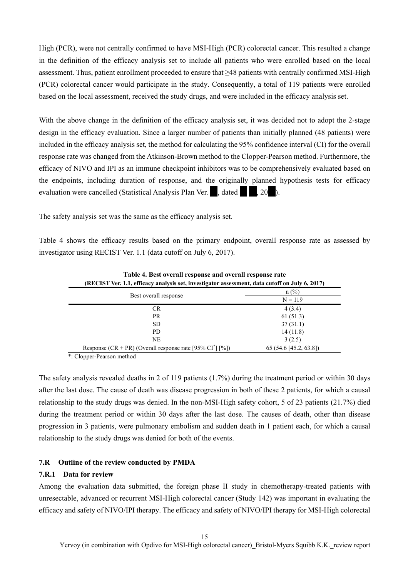High (PCR), were not centrally confirmed to have MSI-High (PCR) colorectal cancer. This resulted a change in the definition of the efficacy analysis set to include all patients who were enrolled based on the local assessment. Thus, patient enrollment proceeded to ensure that ≥48 patients with centrally confirmed MSI-High (PCR) colorectal cancer would participate in the study. Consequently, a total of 119 patients were enrolled based on the local assessment, received the study drugs, and were included in the efficacy analysis set.

With the above change in the definition of the efficacy analysis set, it was decided not to adopt the 2-stage design in the efficacy evaluation. Since a larger number of patients than initially planned (48 patients) were included in the efficacy analysis set, the method for calculating the 95% confidence interval (CI) for the overall response rate was changed from the Atkinson-Brown method to the Clopper-Pearson method. Furthermore, the efficacy of NIVO and IPI as an immune checkpoint inhibitors was to be comprehensively evaluated based on the endpoints, including duration of response, and the originally planned hypothesis tests for efficacy evaluation were cancelled (Statistical Analysis Plan Ver.  $\blacksquare$ , dated  $\blacksquare$ , 20 $\blacksquare$ ).

The safety analysis set was the same as the efficacy analysis set.

Table 4 shows the efficacy results based on the primary endpoint, overall response rate as assessed by investigator using RECIST Ver. 1.1 (data cutoff on July 6, 2017).

| (RECIST Ver. 1.1, efficacy analysis set, investigator assessment, data cutoff on July 6, 2017) |                      |  |  |  |
|------------------------------------------------------------------------------------------------|----------------------|--|--|--|
|                                                                                                | $n$ (%)              |  |  |  |
| Best overall response                                                                          | $N = 119$            |  |  |  |
| CR                                                                                             | 4(3.4)               |  |  |  |
| PR.                                                                                            | 61(51.3)             |  |  |  |
| SD.                                                                                            | 37(31.1)             |  |  |  |
| PD                                                                                             | 14(11.8)             |  |  |  |
| NE                                                                                             | 3(2.5)               |  |  |  |
| Response (CR + PR) (Overall response rate [95% CI <sup>*</sup> ] [%])                          | 65(54.6[45.2, 63.8]) |  |  |  |

**Table 4. Best overall response and overall response rate** 

\*: Clopper-Pearson method

The safety analysis revealed deaths in 2 of 119 patients (1.7%) during the treatment period or within 30 days after the last dose. The cause of death was disease progression in both of these 2 patients, for which a causal relationship to the study drugs was denied. In the non-MSI-High safety cohort, 5 of 23 patients (21.7%) died during the treatment period or within 30 days after the last dose. The causes of death, other than disease progression in 3 patients, were pulmonary embolism and sudden death in 1 patient each, for which a causal relationship to the study drugs was denied for both of the events.

### **7.R Outline of the review conducted by PMDA**

#### **7.R.1 Data for review**

Among the evaluation data submitted, the foreign phase II study in chemotherapy-treated patients with unresectable, advanced or recurrent MSI-High colorectal cancer (Study 142) was important in evaluating the efficacy and safety of NIVO/IPI therapy. The efficacy and safety of NIVO/IPI therapy for MSI-High colorectal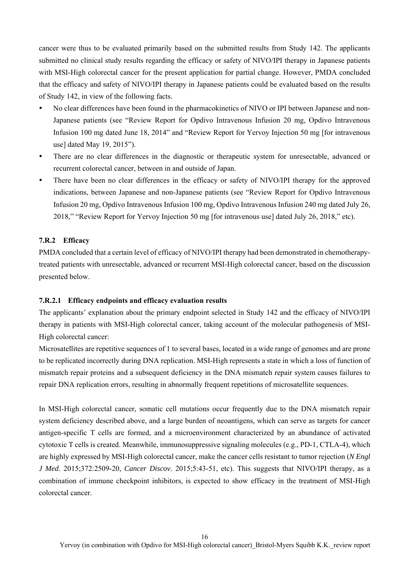cancer were thus to be evaluated primarily based on the submitted results from Study 142. The applicants submitted no clinical study results regarding the efficacy or safety of NIVO/IPI therapy in Japanese patients with MSI-High colorectal cancer for the present application for partial change. However, PMDA concluded that the efficacy and safety of NIVO/IPI therapy in Japanese patients could be evaluated based on the results of Study 142, in view of the following facts.

- No clear differences have been found in the pharmacokinetics of NIVO or IPI between Japanese and non-Japanese patients (see "Review Report for Opdivo Intravenous Infusion 20 mg, Opdivo Intravenous Infusion 100 mg dated June 18, 2014" and "Review Report for Yervoy Injection 50 mg [for intravenous use] dated May 19, 2015").
- There are no clear differences in the diagnostic or therapeutic system for unresectable, advanced or recurrent colorectal cancer, between in and outside of Japan.
- There have been no clear differences in the efficacy or safety of NIVO/IPI therapy for the approved indications, between Japanese and non-Japanese patients (see "Review Report for Opdivo Intravenous Infusion 20 mg, Opdivo Intravenous Infusion 100 mg, Opdivo Intravenous Infusion 240 mg dated July 26, 2018," "Review Report for Yervoy Injection 50 mg [for intravenous use] dated July 26, 2018," etc).

### **7.R.2 Efficacy**

PMDA concluded that a certain level of efficacy of NIVO/IPI therapy had been demonstrated in chemotherapytreated patients with unresectable, advanced or recurrent MSI-High colorectal cancer, based on the discussion presented below.

#### **7.R.2.1 Efficacy endpoints and efficacy evaluation results**

The applicants' explanation about the primary endpoint selected in Study 142 and the efficacy of NIVO/IPI therapy in patients with MSI-High colorectal cancer, taking account of the molecular pathogenesis of MSI-High colorectal cancer:

Microsatellites are repetitive sequences of 1 to several bases, located in a wide range of genomes and are prone to be replicated incorrectly during DNA replication. MSI-High represents a state in which a loss of function of mismatch repair proteins and a subsequent deficiency in the DNA mismatch repair system causes failures to repair DNA replication errors, resulting in abnormally frequent repetitions of microsatellite sequences.

In MSI-High colorectal cancer, somatic cell mutations occur frequently due to the DNA mismatch repair system deficiency described above, and a large burden of neoantigens, which can serve as targets for cancer antigen-specific T cells are formed, and a microenvironment characterized by an abundance of activated cytotoxic T cells is created. Meanwhile, immunosuppressive signaling molecules (e.g., PD-1, CTLA-4), which are highly expressed by MSI-High colorectal cancer, make the cancer cells resistant to tumor rejection (*N Engl J Med*. 2015;372:2509-20, *Cancer Discov.* 2015;5:43-51, etc). This suggests that NIVO/IPI therapy, as a combination of immune checkpoint inhibitors, is expected to show efficacy in the treatment of MSI-High colorectal cancer.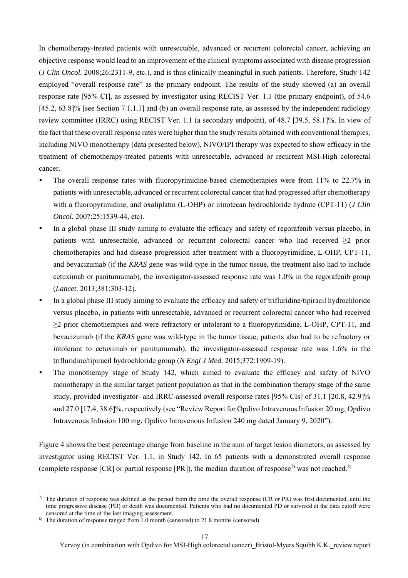In chemotherapy-treated patients with unresectable, advanced or recurrent colorectal cancer, achieving an objective response would lead to an improvement of the clinical symptoms associated with disease progression (*J Clin Oncol.* 2008;26:2311-9, etc.), and is thus clinically meaningful in such patients. Therefore, Study 142 employed "overall response rate" as the primary endpoint. The results of the study showed (a) an overall response rate [95% CI], as assessed by investigator using RECIST Ver. 1.1 (the primary endpoint), of 54.6 [45.2, 63.8]% [see Section 7.1.1.1] and (b) an overall response rate, as assessed by the independent radiology review committee (IRRC) using RECIST Ver. 1.1 (a secondary endpoint), of 48.7 [39.5, 58.1]%. In view of the fact that these overall response rates were higher than the study results obtained with conventional therapies, including NIVO monotherapy (data presented below), NIVO/IPI therapy was expected to show efficacy in the treatment of chemotherapy-treated patients with unresectable, advanced or recurrent MSI-High colorectal cancer.

- The overall response rates with fluoropyrimidine-based chemotherapies were from 11% to 22.7% in patients with unresectable, advanced or recurrent colorectal cancer that had progressed after chemotherapy with a fluoropyrimidine, and oxaliplatin (L-OHP) or irinotecan hydrochloride hydrate (CPT-11) (*J Clin Oncol.* 2007;25:1539-44, etc).
- In a global phase III study aiming to evaluate the efficacy and safety of regorafenib versus placebo, in patients with unresectable, advanced or recurrent colorectal cancer who had received ≥2 prior chemotherapies and had disease progression after treatment with a fluoropyrimidine, L-OHP, CPT-11, and bevacizumab (if the *KRAS* gene was wild-type in the tumor tissue, the treatment also had to include cetuximab or panitumumab), the investigator-assessed response rate was 1.0% in the regorafenib group (*Lancet.* 2013;381:303-12).
- In a global phase III study aiming to evaluate the efficacy and safety of trifluridine/tipiracil hydrochloride versus placebo, in patients with unresectable, advanced or recurrent colorectal cancer who had received ≥2 prior chemotherapies and were refractory or intolerant to a fluoropyrimidine, L-OHP, CPT-11, and bevacizumab (if the *KRAS* gene was wild-type in the tumor tissue, patients also had to be refractory or intolerant to cetuximab or panitumumab), the investigator-assessed response rate was 1.6% in the trifluridine/tipiracil hydrochloride group (*N Engl J Med.* 2015;372:1909-19).
- The monotherapy stage of Study 142, which aimed to evaluate the efficacy and safety of NIVO monotherapy in the similar target patient population as that in the combination therapy stage of the same study, provided investigator- and IRRC-assessed overall response rates [95% CIs] of 31.1 [20.8, 42.9]% and 27.0 [17.4, 38.6]%, respectively (see "Review Report for Opdivo Intravenous Infusion 20 mg, Opdivo Intravenous Infusion 100 mg, Opdivo Intravenous Infusion 240 mg dated January 9, 2020").

Figure 4 shows the best percentage change from baseline in the sum of target lesion diameters, as assessed by investigator using RECIST Ver. 1.1, in Study 142. In 65 patients with a demonstrated overall response (complete response [CR] or partial response [PR]), the median duration of response<sup>7)</sup> was not reached.<sup>8)</sup>

l

 $\eta$  The duration of response was defined as the period from the time the overall response (CR or PR) was first documented, until the time progressive disease (PD) or death was documented. Patients who had no documented PD or survived at the data cutoff were censored at the time of the last imaging assessment.

<sup>8)</sup> The duration of response ranged from 1.0 month (censored) to 21.8 months (censored).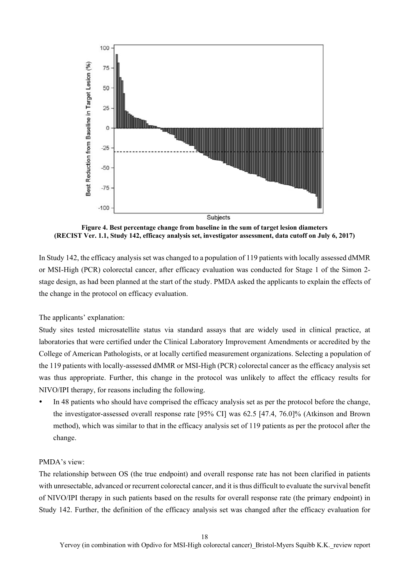

**Figure 4. Best percentage change from baseline in the sum of target lesion diameters (RECIST Ver. 1.1, Study 142, efficacy analysis set, investigator assessment, data cutoff on July 6, 2017)** 

In Study 142, the efficacy analysis set was changed to a population of 119 patients with locally assessed dMMR or MSI-High (PCR) colorectal cancer, after efficacy evaluation was conducted for Stage 1 of the Simon 2 stage design, as had been planned at the start of the study. PMDA asked the applicants to explain the effects of the change in the protocol on efficacy evaluation.

The applicants' explanation:

Study sites tested microsatellite status via standard assays that are widely used in clinical practice, at laboratories that were certified under the Clinical Laboratory Improvement Amendments or accredited by the College of American Pathologists, or at locally certified measurement organizations. Selecting a population of the 119 patients with locally-assessed dMMR or MSI-High (PCR) colorectal cancer as the efficacy analysis set was thus appropriate. Further, this change in the protocol was unlikely to affect the efficacy results for NIVO/IPI therapy, for reasons including the following.

 In 48 patients who should have comprised the efficacy analysis set as per the protocol before the change, the investigator-assessed overall response rate [95% CI] was 62.5 [47.4, 76.0]% (Atkinson and Brown method), which was similar to that in the efficacy analysis set of 119 patients as per the protocol after the change.

### PMDA's view:

The relationship between OS (the true endpoint) and overall response rate has not been clarified in patients with unresectable, advanced or recurrent colorectal cancer, and it is thus difficult to evaluate the survival benefit of NIVO/IPI therapy in such patients based on the results for overall response rate (the primary endpoint) in Study 142. Further, the definition of the efficacy analysis set was changed after the efficacy evaluation for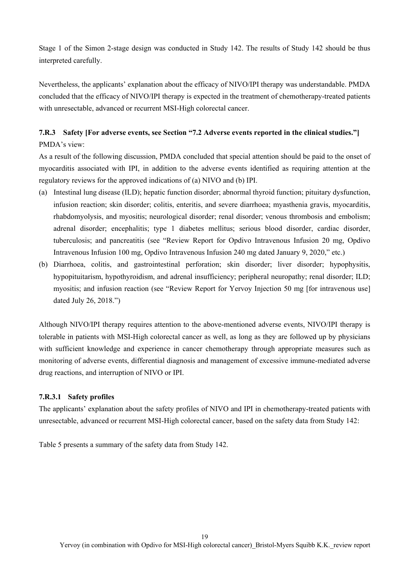Stage 1 of the Simon 2-stage design was conducted in Study 142. The results of Study 142 should be thus interpreted carefully.

Nevertheless, the applicants' explanation about the efficacy of NIVO/IPI therapy was understandable. PMDA concluded that the efficacy of NIVO/IPI therapy is expected in the treatment of chemotherapy-treated patients with unresectable, advanced or recurrent MSI-High colorectal cancer.

# **7.R.3 Safety [For adverse events, see Section "7.2 Adverse events reported in the clinical studies."]**  PMDA's view:

As a result of the following discussion, PMDA concluded that special attention should be paid to the onset of myocarditis associated with IPI, in addition to the adverse events identified as requiring attention at the regulatory reviews for the approved indications of (a) NIVO and (b) IPI.

- (a) Intestinal lung disease (ILD); hepatic function disorder; abnormal thyroid function; pituitary dysfunction, infusion reaction; skin disorder; colitis, enteritis, and severe diarrhoea; myasthenia gravis, myocarditis, rhabdomyolysis, and myositis; neurological disorder; renal disorder; venous thrombosis and embolism; adrenal disorder; encephalitis; type 1 diabetes mellitus; serious blood disorder, cardiac disorder, tuberculosis; and pancreatitis (see "Review Report for Opdivo Intravenous Infusion 20 mg, Opdivo Intravenous Infusion 100 mg, Opdivo Intravenous Infusion 240 mg dated January 9, 2020," etc.)
- (b) Diarrhoea, colitis, and gastrointestinal perforation; skin disorder; liver disorder; hypophysitis, hypopituitarism, hypothyroidism, and adrenal insufficiency; peripheral neuropathy; renal disorder; ILD; myositis; and infusion reaction (see "Review Report for Yervoy Injection 50 mg [for intravenous use] dated July 26, 2018.")

Although NIVO/IPI therapy requires attention to the above-mentioned adverse events, NIVO/IPI therapy is tolerable in patients with MSI-High colorectal cancer as well, as long as they are followed up by physicians with sufficient knowledge and experience in cancer chemotherapy through appropriate measures such as monitoring of adverse events, differential diagnosis and management of excessive immune-mediated adverse drug reactions, and interruption of NIVO or IPI.

### **7.R.3.1 Safety profiles**

The applicants' explanation about the safety profiles of NIVO and IPI in chemotherapy-treated patients with unresectable, advanced or recurrent MSI-High colorectal cancer, based on the safety data from Study 142:

Table 5 presents a summary of the safety data from Study 142.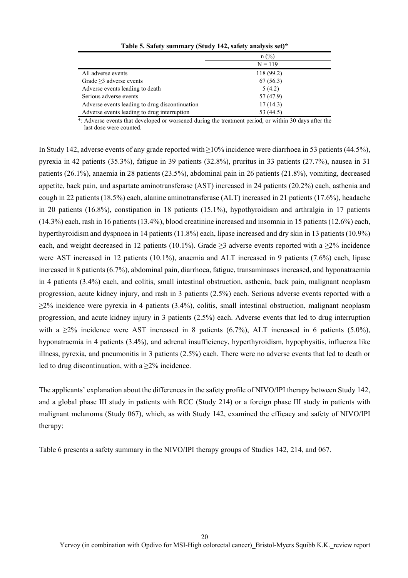|                                                | $n$ (%)    |
|------------------------------------------------|------------|
|                                                | $N = 119$  |
| All adverse events                             | 118 (99.2) |
| Grade $\geq$ 3 adverse events                  | 67(56.3)   |
| Adverse events leading to death                | 5(4.2)     |
| Serious adverse events                         | 57 (47.9)  |
| Adverse events leading to drug discontinuation | 17(14.3)   |
| Adverse events leading to drug interruption    | 53 (44.5)  |

**Table 5. Safety summary (Study 142, safety analysis set)\*** 

\*: Adverse events that developed or worsened during the treatment period, or within 30 days after the last dose were counted.

In Study 142, adverse events of any grade reported with ≥10% incidence were diarrhoea in 53 patients (44.5%), pyrexia in 42 patients (35.3%), fatigue in 39 patients (32.8%), pruritus in 33 patients (27.7%), nausea in 31 patients (26.1%), anaemia in 28 patients (23.5%), abdominal pain in 26 patients (21.8%), vomiting, decreased appetite, back pain, and aspartate aminotransferase (AST) increased in 24 patients (20.2%) each, asthenia and cough in 22 patients (18.5%) each, alanine aminotransferase (ALT) increased in 21 patients (17.6%), headache in 20 patients (16.8%), constipation in 18 patients (15.1%), hypothyroidism and arthralgia in 17 patients (14.3%) each, rash in 16 patients (13.4%), blood creatinine increased and insomnia in 15 patients (12.6%) each, hyperthyroidism and dyspnoea in 14 patients (11.8%) each, lipase increased and dry skin in 13 patients (10.9%) each, and weight decreased in 12 patients (10.1%). Grade  $\geq$ 3 adverse events reported with a  $\geq$ % incidence were AST increased in 12 patients (10.1%), anaemia and ALT increased in 9 patients (7.6%) each, lipase increased in 8 patients (6.7%), abdominal pain, diarrhoea, fatigue, transaminases increased, and hyponatraemia in 4 patients (3.4%) each, and colitis, small intestinal obstruction, asthenia, back pain, malignant neoplasm progression, acute kidney injury, and rash in 3 patients (2.5%) each. Serious adverse events reported with a ≥2% incidence were pyrexia in 4 patients (3.4%), colitis, small intestinal obstruction, malignant neoplasm progression, and acute kidney injury in 3 patients (2.5%) each. Adverse events that led to drug interruption with a  $\geq$ 2% incidence were AST increased in 8 patients (6.7%), ALT increased in 6 patients (5.0%), hyponatraemia in 4 patients (3.4%), and adrenal insufficiency, hyperthyroidism, hypophysitis, influenza like illness, pyrexia, and pneumonitis in 3 patients (2.5%) each. There were no adverse events that led to death or led to drug discontinuation, with a  $>2\%$  incidence.

The applicants' explanation about the differences in the safety profile of NIVO/IPI therapy between Study 142, and a global phase III study in patients with RCC (Study 214) or a foreign phase III study in patients with malignant melanoma (Study 067), which, as with Study 142, examined the efficacy and safety of NIVO/IPI therapy:

Table 6 presents a safety summary in the NIVO/IPI therapy groups of Studies 142, 214, and 067.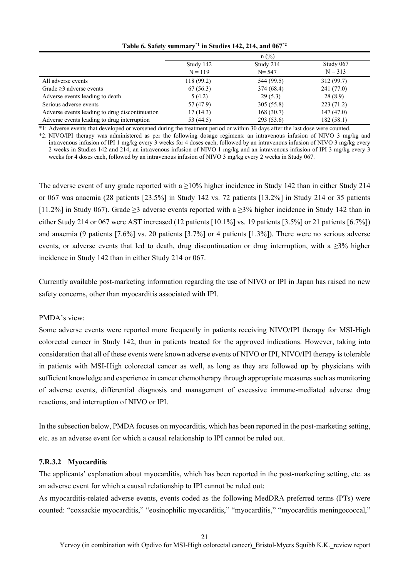|                                                |            | $n$ (%)    |            |
|------------------------------------------------|------------|------------|------------|
|                                                | Study 142  | Study 214  | Study 067  |
|                                                | $N = 119$  | $N = 547$  | $N = 313$  |
| All adverse events                             | 118 (99.2) | 544 (99.5) | 312(99.7)  |
| Grade $\geq$ 3 adverse events                  | 67(56.3)   | 374 (68.4) | 241 (77.0) |
| Adverse events leading to death                | 5(4.2)     | 29(5.3)    | 28(8.9)    |
| Serious adverse events                         | 57 (47.9)  | 305(55.8)  | 223(71.2)  |
| Adverse events leading to drug discontinuation | 17(14.3)   | 168(30.7)  | 147(47.0)  |
| Adverse events leading to drug interruption    | 53 (44.5)  | 293 (53.6) | 182(58.1)  |

**Table 6. Safety summary\*1 in Studies 142, 214, and 067\*2**

\*1: Adverse events that developed or worsened during the treatment period or within 30 days after the last dose were counted.

\*2: NIVO/IPI therapy was administered as per the following dosage regimens: an intravenous infusion of NIVO 3 mg/kg and intravenous infusion of IPI 1 mg/kg every 3 weeks for 4 doses each, followed by an intravenous infusion of NIVO 3 mg/kg every 2 weeks in Studies 142 and 214; an intravenous infusion of NIVO 1 mg/kg and an intravenous infusion of IPI 3 mg/kg every 3 weeks for 4 doses each, followed by an intravenous infusion of NIVO 3 mg/kg every 2 weeks in Study 067.

The adverse event of any grade reported with a  $\geq$ 10% higher incidence in Study 142 than in either Study 214 or 067 was anaemia (28 patients [23.5%] in Study 142 vs. 72 patients [13.2%] in Study 214 or 35 patients [11.2%] in Study 067). Grade ≥3 adverse events reported with a ≥3% higher incidence in Study 142 than in either Study 214 or 067 were AST increased (12 patients [10.1%] vs. 19 patients [3.5%] or 21 patients [6.7%]) and anaemia (9 patients [7.6%] vs. 20 patients [3.7%] or 4 patients [1.3%]). There were no serious adverse events, or adverse events that led to death, drug discontinuation or drug interruption, with a  $\geq$ 3% higher incidence in Study 142 than in either Study 214 or 067.

Currently available post-marketing information regarding the use of NIVO or IPI in Japan has raised no new safety concerns, other than myocarditis associated with IPI.

#### PMDA's view:

Some adverse events were reported more frequently in patients receiving NIVO/IPI therapy for MSI-High colorectal cancer in Study 142, than in patients treated for the approved indications. However, taking into consideration that all of these events were known adverse events of NIVO or IPI, NIVO/IPI therapy is tolerable in patients with MSI-High colorectal cancer as well, as long as they are followed up by physicians with sufficient knowledge and experience in cancer chemotherapy through appropriate measures such as monitoring of adverse events, differential diagnosis and management of excessive immune-mediated adverse drug reactions, and interruption of NIVO or IPI.

In the subsection below, PMDA focuses on myocarditis, which has been reported in the post-marketing setting, etc. as an adverse event for which a causal relationship to IPI cannot be ruled out.

#### **7.R.3.2 Myocarditis**

The applicants' explanation about myocarditis, which has been reported in the post-marketing setting, etc. as an adverse event for which a causal relationship to IPI cannot be ruled out:

As myocarditis-related adverse events, events coded as the following MedDRA preferred terms (PTs) were counted: "coxsackie myocarditis," "eosinophilic myocarditis," "myocarditis," "myocarditis meningococcal,"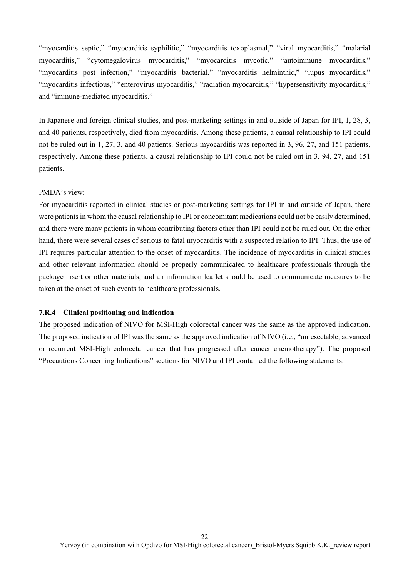"myocarditis septic," "myocarditis syphilitic," "myocarditis toxoplasmal," "viral myocarditis," "malarial myocarditis," "cytomegalovirus myocarditis," "myocarditis mycotic," "autoimmune myocarditis," "myocarditis post infection," "myocarditis bacterial," "myocarditis helminthic," "lupus myocarditis," "myocarditis infectious," "enterovirus myocarditis," "radiation myocarditis," "hypersensitivity myocarditis," and "immune-mediated myocarditis."

In Japanese and foreign clinical studies, and post-marketing settings in and outside of Japan for IPI, 1, 28, 3, and 40 patients, respectively, died from myocarditis. Among these patients, a causal relationship to IPI could not be ruled out in 1, 27, 3, and 40 patients. Serious myocarditis was reported in 3, 96, 27, and 151 patients, respectively. Among these patients, a causal relationship to IPI could not be ruled out in 3, 94, 27, and 151 patients.

#### PMDA's view:

For myocarditis reported in clinical studies or post-marketing settings for IPI in and outside of Japan, there were patients in whom the causal relationship to IPI or concomitant medications could not be easily determined, and there were many patients in whom contributing factors other than IPI could not be ruled out. On the other hand, there were several cases of serious to fatal myocarditis with a suspected relation to IPI. Thus, the use of IPI requires particular attention to the onset of myocarditis. The incidence of myocarditis in clinical studies and other relevant information should be properly communicated to healthcare professionals through the package insert or other materials, and an information leaflet should be used to communicate measures to be taken at the onset of such events to healthcare professionals.

### **7.R.4 Clinical positioning and indication**

The proposed indication of NIVO for MSI-High colorectal cancer was the same as the approved indication. The proposed indication of IPI was the same as the approved indication of NIVO (i.e., "unresectable, advanced or recurrent MSI-High colorectal cancer that has progressed after cancer chemotherapy"). The proposed "Precautions Concerning Indications" sections for NIVO and IPI contained the following statements.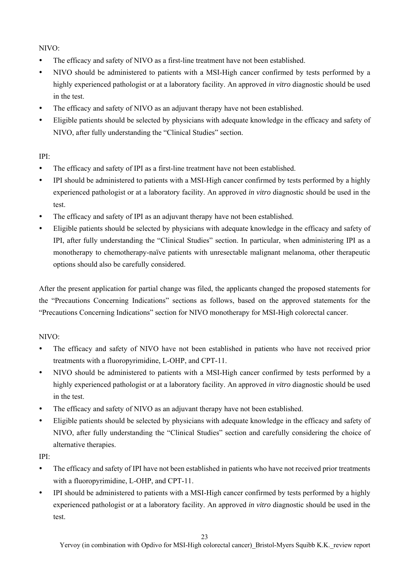NIVO:

- The efficacy and safety of NIVO as a first-line treatment have not been established.
- NIVO should be administered to patients with a MSI-High cancer confirmed by tests performed by a highly experienced pathologist or at a laboratory facility. An approved *in vitro* diagnostic should be used in the test.
- The efficacy and safety of NIVO as an adjuvant therapy have not been established.
- Eligible patients should be selected by physicians with adequate knowledge in the efficacy and safety of NIVO, after fully understanding the "Clinical Studies" section.

### IPI:

- The efficacy and safety of IPI as a first-line treatment have not been established.
- IPI should be administered to patients with a MSI-High cancer confirmed by tests performed by a highly experienced pathologist or at a laboratory facility. An approved *in vitro* diagnostic should be used in the test.
- The efficacy and safety of IPI as an adjuvant therapy have not been established.
- Eligible patients should be selected by physicians with adequate knowledge in the efficacy and safety of IPI, after fully understanding the "Clinical Studies" section. In particular, when administering IPI as a monotherapy to chemotherapy-naïve patients with unresectable malignant melanoma, other therapeutic options should also be carefully considered.

After the present application for partial change was filed, the applicants changed the proposed statements for the "Precautions Concerning Indications" sections as follows, based on the approved statements for the "Precautions Concerning Indications" section for NIVO monotherapy for MSI-High colorectal cancer.

### NIVO:

- The efficacy and safety of NIVO have not been established in patients who have not received prior treatments with a fluoropyrimidine, L-OHP, and CPT-11.
- NIVO should be administered to patients with a MSI-High cancer confirmed by tests performed by a highly experienced pathologist or at a laboratory facility. An approved *in vitro* diagnostic should be used in the test.
- The efficacy and safety of NIVO as an adjuvant therapy have not been established.
- Eligible patients should be selected by physicians with adequate knowledge in the efficacy and safety of NIVO, after fully understanding the "Clinical Studies" section and carefully considering the choice of alternative therapies.

IPI:

- The efficacy and safety of IPI have not been established in patients who have not received prior treatments with a fluoropyrimidine, L-OHP, and CPT-11.
- IPI should be administered to patients with a MSI-High cancer confirmed by tests performed by a highly experienced pathologist or at a laboratory facility. An approved *in vitro* diagnostic should be used in the test.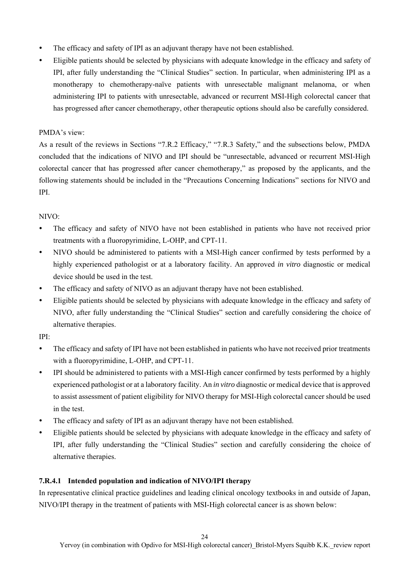- The efficacy and safety of IPI as an adjuvant therapy have not been established.
- Eligible patients should be selected by physicians with adequate knowledge in the efficacy and safety of IPI, after fully understanding the "Clinical Studies" section. In particular, when administering IPI as a monotherapy to chemotherapy-naïve patients with unresectable malignant melanoma, or when administering IPI to patients with unresectable, advanced or recurrent MSI-High colorectal cancer that has progressed after cancer chemotherapy, other therapeutic options should also be carefully considered.

### PMDA's view:

As a result of the reviews in Sections "7.R.2 Efficacy," "7.R.3 Safety," and the subsections below, PMDA concluded that the indications of NIVO and IPI should be "unresectable, advanced or recurrent MSI-High colorectal cancer that has progressed after cancer chemotherapy," as proposed by the applicants, and the following statements should be included in the "Precautions Concerning Indications" sections for NIVO and IPI.

### $NIVO<sup>1</sup>$

- The efficacy and safety of NIVO have not been established in patients who have not received prior treatments with a fluoropyrimidine, L-OHP, and CPT-11.
- NIVO should be administered to patients with a MSI-High cancer confirmed by tests performed by a highly experienced pathologist or at a laboratory facility. An approved *in vitro* diagnostic or medical device should be used in the test.
- The efficacy and safety of NIVO as an adjuvant therapy have not been established.
- Eligible patients should be selected by physicians with adequate knowledge in the efficacy and safety of NIVO, after fully understanding the "Clinical Studies" section and carefully considering the choice of alternative therapies.

IPI:

- The efficacy and safety of IPI have not been established in patients who have not received prior treatments with a fluoropyrimidine, L-OHP, and CPT-11.
- IPI should be administered to patients with a MSI-High cancer confirmed by tests performed by a highly experienced pathologist or at a laboratory facility. An *in vitro* diagnostic or medical device that is approved to assist assessment of patient eligibility for NIVO therapy for MSI-High colorectal cancer should be used in the test.
- The efficacy and safety of IPI as an adjuvant therapy have not been established.
- Eligible patients should be selected by physicians with adequate knowledge in the efficacy and safety of IPI, after fully understanding the "Clinical Studies" section and carefully considering the choice of alternative therapies.

### **7.R.4.1 Intended population and indication of NIVO/IPI therapy**

In representative clinical practice guidelines and leading clinical oncology textbooks in and outside of Japan, NIVO/IPI therapy in the treatment of patients with MSI-High colorectal cancer is as shown below: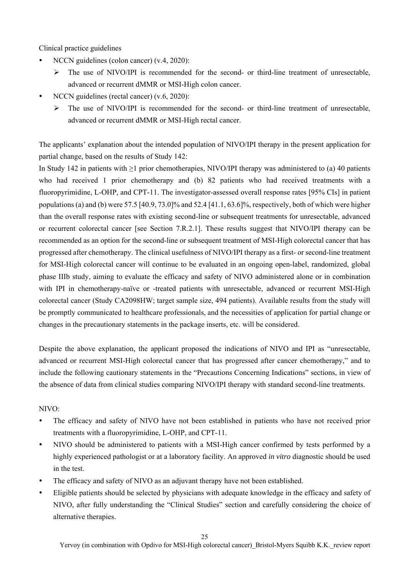Clinical practice guidelines

- NCCN guidelines (colon cancer) (v.4, 2020):
	- $\triangleright$  The use of NIVO/IPI is recommended for the second- or third-line treatment of unresectable, advanced or recurrent dMMR or MSI-High colon cancer.
- NCCN guidelines (rectal cancer) (v.6, 2020):
	- $\triangleright$  The use of NIVO/IPI is recommended for the second- or third-line treatment of unresectable, advanced or recurrent dMMR or MSI-High rectal cancer.

The applicants' explanation about the intended population of NIVO/IPI therapy in the present application for partial change, based on the results of Study 142:

In Study 142 in patients with ≥1 prior chemotherapies, NIVO/IPI therapy was administered to (a) 40 patients who had received 1 prior chemotherapy and (b) 82 patients who had received treatments with a fluoropyrimidine, L-OHP, and CPT-11. The investigator-assessed overall response rates [95% CIs] in patient populations (a) and (b) were  $57.5$  [40.9, 73.0]% and  $52.4$  [41.1, 63.6]%, respectively, both of which were higher than the overall response rates with existing second-line or subsequent treatments for unresectable, advanced or recurrent colorectal cancer [see Section 7.R.2.1]. These results suggest that NIVO/IPI therapy can be recommended as an option for the second-line or subsequent treatment of MSI-High colorectal cancer that has progressed after chemotherapy. The clinical usefulness of NIVO/IPI therapy as a first- or second-line treatment for MSI-High colorectal cancer will continue to be evaluated in an ongoing open-label, randomized, global phase IIIb study, aiming to evaluate the efficacy and safety of NIVO administered alone or in combination with IPI in chemotherapy-naïve or -treated patients with unresectable, advanced or recurrent MSI-High colorectal cancer (Study CA2098HW; target sample size, 494 patients). Available results from the study will be promptly communicated to healthcare professionals, and the necessities of application for partial change or changes in the precautionary statements in the package inserts, etc. will be considered.

Despite the above explanation, the applicant proposed the indications of NIVO and IPI as "unresectable, advanced or recurrent MSI-High colorectal cancer that has progressed after cancer chemotherapy," and to include the following cautionary statements in the "Precautions Concerning Indications" sections, in view of the absence of data from clinical studies comparing NIVO/IPI therapy with standard second-line treatments.

#### NIVO:

- The efficacy and safety of NIVO have not been established in patients who have not received prior treatments with a fluoropyrimidine, L-OHP, and CPT-11.
- NIVO should be administered to patients with a MSI-High cancer confirmed by tests performed by a highly experienced pathologist or at a laboratory facility. An approved *in vitro* diagnostic should be used in the test.
- The efficacy and safety of NIVO as an adjuvant therapy have not been established.
- Eligible patients should be selected by physicians with adequate knowledge in the efficacy and safety of NIVO, after fully understanding the "Clinical Studies" section and carefully considering the choice of alternative therapies.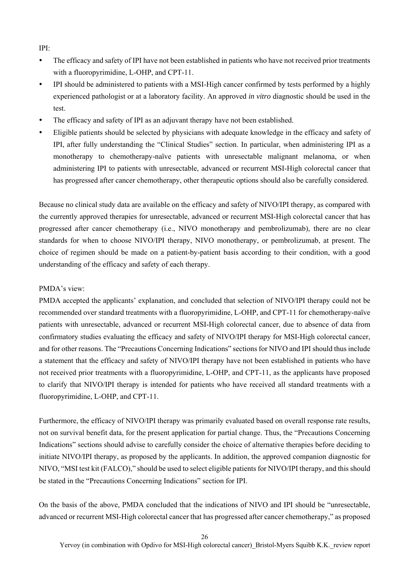IPI:

- The efficacy and safety of IPI have not been established in patients who have not received prior treatments with a fluoropyrimidine, L-OHP, and CPT-11.
- IPI should be administered to patients with a MSI-High cancer confirmed by tests performed by a highly experienced pathologist or at a laboratory facility. An approved *in vitro* diagnostic should be used in the test.
- The efficacy and safety of IPI as an adjuvant therapy have not been established.
- Eligible patients should be selected by physicians with adequate knowledge in the efficacy and safety of IPI, after fully understanding the "Clinical Studies" section. In particular, when administering IPI as a monotherapy to chemotherapy-naïve patients with unresectable malignant melanoma, or when administering IPI to patients with unresectable, advanced or recurrent MSI-High colorectal cancer that has progressed after cancer chemotherapy, other therapeutic options should also be carefully considered.

Because no clinical study data are available on the efficacy and safety of NIVO/IPI therapy, as compared with the currently approved therapies for unresectable, advanced or recurrent MSI-High colorectal cancer that has progressed after cancer chemotherapy (i.e., NIVO monotherapy and pembrolizumab), there are no clear standards for when to choose NIVO/IPI therapy, NIVO monotherapy, or pembrolizumab, at present. The choice of regimen should be made on a patient-by-patient basis according to their condition, with a good understanding of the efficacy and safety of each therapy.

#### PMDA's view:

PMDA accepted the applicants' explanation, and concluded that selection of NIVO/IPI therapy could not be recommended over standard treatments with a fluoropyrimidine, L-OHP, and CPT-11 for chemotherapy-naïve patients with unresectable, advanced or recurrent MSI-High colorectal cancer, due to absence of data from confirmatory studies evaluating the efficacy and safety of NIVO/IPI therapy for MSI-High colorectal cancer, and for other reasons. The "Precautions Concerning Indications" sections for NIVO and IPI should thus include a statement that the efficacy and safety of NIVO/IPI therapy have not been established in patients who have not received prior treatments with a fluoropyrimidine, L-OHP, and CPT-11, as the applicants have proposed to clarify that NIVO/IPI therapy is intended for patients who have received all standard treatments with a fluoropyrimidine, L-OHP, and CPT-11.

Furthermore, the efficacy of NIVO/IPI therapy was primarily evaluated based on overall response rate results, not on survival benefit data, for the present application for partial change. Thus, the "Precautions Concerning Indications" sections should advise to carefully consider the choice of alternative therapies before deciding to initiate NIVO/IPI therapy, as proposed by the applicants. In addition, the approved companion diagnostic for NIVO, "MSI test kit (FALCO)," should be used to select eligible patients for NIVO/IPI therapy, and this should be stated in the "Precautions Concerning Indications" section for IPI.

On the basis of the above, PMDA concluded that the indications of NIVO and IPI should be "unresectable, advanced or recurrent MSI-High colorectal cancer that has progressed after cancer chemotherapy," as proposed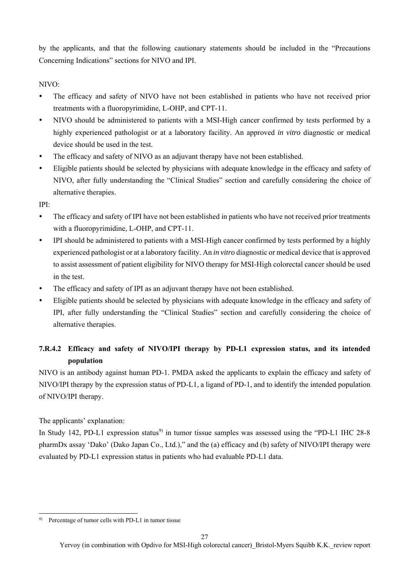by the applicants, and that the following cautionary statements should be included in the "Precautions Concerning Indications" sections for NIVO and IPI.

NIVO:

- The efficacy and safety of NIVO have not been established in patients who have not received prior treatments with a fluoropyrimidine, L-OHP, and CPT-11.
- NIVO should be administered to patients with a MSI-High cancer confirmed by tests performed by a highly experienced pathologist or at a laboratory facility. An approved *in vitro* diagnostic or medical device should be used in the test.
- The efficacy and safety of NIVO as an adjuvant therapy have not been established.
- Eligible patients should be selected by physicians with adequate knowledge in the efficacy and safety of NIVO, after fully understanding the "Clinical Studies" section and carefully considering the choice of alternative therapies.

IPI:

- The efficacy and safety of IPI have not been established in patients who have not received prior treatments with a fluoropyrimidine, L-OHP, and CPT-11.
- IPI should be administered to patients with a MSI-High cancer confirmed by tests performed by a highly experienced pathologist or at a laboratory facility. An *in vitro* diagnostic or medical device that is approved to assist assessment of patient eligibility for NIVO therapy for MSI-High colorectal cancer should be used in the test.
- The efficacy and safety of IPI as an adjuvant therapy have not been established.
- Eligible patients should be selected by physicians with adequate knowledge in the efficacy and safety of IPI, after fully understanding the "Clinical Studies" section and carefully considering the choice of alternative therapies.

# **7.R.4.2 Efficacy and safety of NIVO/IPI therapy by PD-L1 expression status, and its intended population**

NIVO is an antibody against human PD-1. PMDA asked the applicants to explain the efficacy and safety of NIVO/IPI therapy by the expression status of PD-L1, a ligand of PD-1, and to identify the intended population of NIVO/IPI therapy.

The applicants' explanation:

 $\overline{\phantom{a}}$ 

In Study 142, PD-L1 expression status<sup>9)</sup> in tumor tissue samples was assessed using the "PD-L1 IHC 28-8" pharmDx assay 'Dako' (Dako Japan Co., Ltd.)," and the (a) efficacy and (b) safety of NIVO/IPI therapy were evaluated by PD-L1 expression status in patients who had evaluable PD-L1 data.

<sup>9)</sup> Percentage of tumor cells with PD-L1 in tumor tissue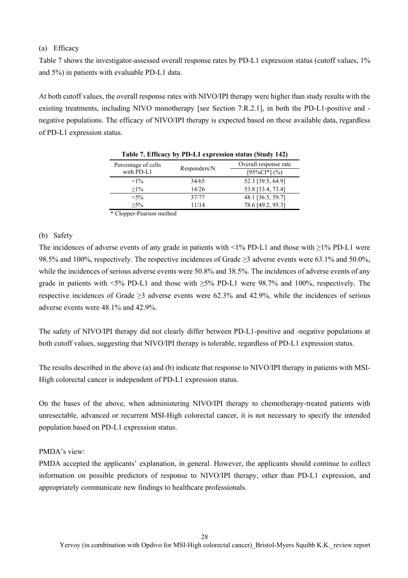### (a) Efficacy

Table 7 shows the investigator-assessed overall response rates by PD-L1 expression status (cutoff values, 1% and 5%) in patients with evaluable PD-L1 data.

At both cutoff values, the overall response rates with NIVO/IPI therapy were higher than study results with the existing treatments, including NIVO monotherapy [see Section 7.R.2.1], in both the PD-L1-positive and negative populations. The efficacy of NIVO/IPI therapy is expected based on these available data, regardless of PD-L1 expression status.

| Percentage of cells            |               | Overall response rate |
|--------------------------------|---------------|-----------------------|
| with PD-L1                     | Responders/N  | $[95\%CI*](\%)$       |
| $<1\%$                         | 34/65         | 52.3 [39.5, 64.9]     |
| $>1\%$                         | 14/26         | 53.8 [33.4, 73.4]     |
| $< 5\%$                        | 37/77         | 48.1 [36.5, 59.7]     |
| $>5\%$                         | 11/14         | 78.6 [49.2, 95.3]     |
| $\sim$ $\sim$ $\sim$<br>$\sim$ | $\sim$ $\sim$ |                       |

|  |  | Table 7. Efficacy by PD-L1 expression status (Study 142) |  |  |
|--|--|----------------------------------------------------------|--|--|
|  |  |                                                          |  |  |

\* Clopper-Pearson method

### (b) Safety

The incidences of adverse events of any grade in patients with <1% PD-L1 and those with ≥1% PD-L1 were 98.5% and 100%, respectively. The respective incidences of Grade ≥3 adverse events were 63.1% and 50.0%, while the incidences of serious adverse events were 50.8% and 38.5%. The incidences of adverse events of any grade in patients with  $\leq 5\%$  PD-L1 and those with  $\geq 5\%$  PD-L1 were 98.7% and 100%, respectively. The respective incidences of Grade ≥3 adverse events were 62.3% and 42.9%, while the incidences of serious adverse events were 48.1% and 42.9%.

The safety of NIVO/IPI therapy did not clearly differ between PD-L1-positive and -negative populations at both cutoff values, suggesting that NIVO/IPI therapy is tolerable, regardless of PD-L1 expression status.

The results described in the above (a) and (b) indicate that response to NIVO/IPI therapy in patients with MSI-High colorectal cancer is independent of PD-L1 expression status.

On the bases of the above, when administering NIVO/IPI therapy to chemotherapy-treated patients with unresectable, advanced or recurrent MSI-High colorectal cancer, it is not necessary to specify the intended population based on PD-L1 expression status.

#### PMDA's view:

PMDA accepted the applicants' explanation, in general. However, the applicants should continue to collect information on possible predictors of response to NIVO/IPI therapy, other than PD-L1 expression, and appropriately communicate new findings to healthcare professionals.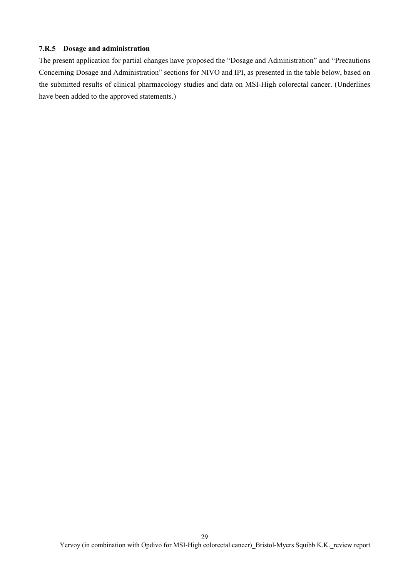### **7.R.5 Dosage and administration**

The present application for partial changes have proposed the "Dosage and Administration" and "Precautions Concerning Dosage and Administration" sections for NIVO and IPI, as presented in the table below, based on the submitted results of clinical pharmacology studies and data on MSI-High colorectal cancer. (Underlines have been added to the approved statements.)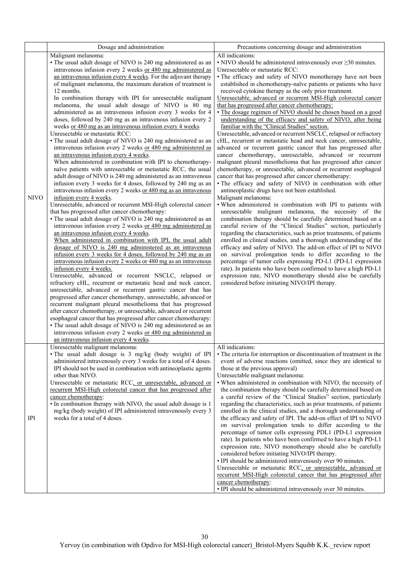|             | Dosage and administration                                                                                                                                                                                                                                                                                                                                                                                                                                                                                                                                                                                                                                                                                                                                                                                                                                                                                                                                                                                                                                                                                                                                                                                                                                                                                                                                                                                                                                                                                                                                                                                                                                                                                                                                                                                                                                                                                                                                                                                                                                                                                                                                                                                                                                                    | Precautions concerning dosage and administration                                                                                                                                                                                                                                                                                                                                                                                                                                                                                                                                                                                                                                                                                                                                                                                                                                                                                                                                                                                                                                                                                                                                                                                                                                                                                                                                                                                                                                                                                                                                                                                                                                                                                                                                                                                                                                                         |
|-------------|------------------------------------------------------------------------------------------------------------------------------------------------------------------------------------------------------------------------------------------------------------------------------------------------------------------------------------------------------------------------------------------------------------------------------------------------------------------------------------------------------------------------------------------------------------------------------------------------------------------------------------------------------------------------------------------------------------------------------------------------------------------------------------------------------------------------------------------------------------------------------------------------------------------------------------------------------------------------------------------------------------------------------------------------------------------------------------------------------------------------------------------------------------------------------------------------------------------------------------------------------------------------------------------------------------------------------------------------------------------------------------------------------------------------------------------------------------------------------------------------------------------------------------------------------------------------------------------------------------------------------------------------------------------------------------------------------------------------------------------------------------------------------------------------------------------------------------------------------------------------------------------------------------------------------------------------------------------------------------------------------------------------------------------------------------------------------------------------------------------------------------------------------------------------------------------------------------------------------------------------------------------------------|----------------------------------------------------------------------------------------------------------------------------------------------------------------------------------------------------------------------------------------------------------------------------------------------------------------------------------------------------------------------------------------------------------------------------------------------------------------------------------------------------------------------------------------------------------------------------------------------------------------------------------------------------------------------------------------------------------------------------------------------------------------------------------------------------------------------------------------------------------------------------------------------------------------------------------------------------------------------------------------------------------------------------------------------------------------------------------------------------------------------------------------------------------------------------------------------------------------------------------------------------------------------------------------------------------------------------------------------------------------------------------------------------------------------------------------------------------------------------------------------------------------------------------------------------------------------------------------------------------------------------------------------------------------------------------------------------------------------------------------------------------------------------------------------------------------------------------------------------------------------------------------------------------|
|             | Malignant melanoma:<br>• The usual adult dosage of NIVO is 240 mg administered as an<br>intravenous infusion every 2 weeks or 480 mg administered as                                                                                                                                                                                                                                                                                                                                                                                                                                                                                                                                                                                                                                                                                                                                                                                                                                                                                                                                                                                                                                                                                                                                                                                                                                                                                                                                                                                                                                                                                                                                                                                                                                                                                                                                                                                                                                                                                                                                                                                                                                                                                                                         | All indications:<br>$\cdot$ NIVO should be administered intravenously over $\geq$ 30 minutes.<br>Unresectable or metastatic RCC:                                                                                                                                                                                                                                                                                                                                                                                                                                                                                                                                                                                                                                                                                                                                                                                                                                                                                                                                                                                                                                                                                                                                                                                                                                                                                                                                                                                                                                                                                                                                                                                                                                                                                                                                                                         |
| <b>NIVO</b> | an intravenous infusion every 4 weeks. For the adjuvant therapy<br>of malignant melanoma, the maximum duration of treatment is<br>12 months.<br>In combination therapy with IPI for unresectable malignant<br>melanoma, the usual adult dosage of NIVO is 80 mg<br>administered as an intravenous infusion every 3 weeks for 4<br>doses, followed by 240 mg as an intravenous infusion every 2<br>weeks or 480 mg as an intravenous infusion every 4 weeks.<br>Unresectable or metastatic RCC:<br>• The usual adult dosage of NIVO is 240 mg administered as an<br>intravenous infusion every 2 weeks or 480 mg administered as<br>an intravenous infusion every 4 weeks.<br>When administered in combination with IPI to chemotherapy-<br>naïve patients with unresectable or metastatic RCC, the usual<br>adult dosage of NIVO is 240 mg administered as an intravenous<br>infusion every 3 weeks for 4 doses, followed by 240 mg as an<br>intravenous infusion every 2 weeks or 480 mg as an intravenous<br>infusion every 4 weeks.<br>Unresectable, advanced or recurrent MSI-High colorectal cancer<br>that has progressed after cancer chemotherapy:<br>• The usual adult dosage of NIVO is 240 mg administered as an<br>intravenous infusion every 2 weeks or 480 mg administered as<br>an intravenous infusion every 4 weeks.<br>When administered in combination with IPI, the usual adult<br>dosage of NIVO is 240 mg administered as an intravenous<br>infusion every 3 weeks for 4 doses, followed by 240 mg as an<br>intravenous infusion every 2 weeks or 480 mg as an intravenous<br>infusion every 4 weeks.<br>Unresectable, advanced or recurrent NSCLC, relapsed or<br>refractory cHL, recurrent or metastatic head and neck cancer,<br>unresectable, advanced or recurrent gastric cancer that has<br>progressed after cancer chemotherapy, unresectable, advanced or<br>recurrent malignant pleural mesothelioma that has progressed<br>after cancer chemotherapy, or unresectable, advanced or recurrent<br>esophageal cancer that has progressed after cancer chemotherapy:<br>• The usual adult dosage of NIVO is 240 mg administered as an<br>intravenous infusion every 2 weeks or 480 mg administered as<br>an intravenous infusion every 4 weeks. | • The efficacy and safety of NIVO monotherapy have not been<br>established in chemotherapy-naïve patients or patients who have<br>received cytokine therapy as the only prior treatment.<br>Unresectable, advanced or recurrent MSI-High colorectal cancer<br>that has progressed after cancer chemotherapy:<br>· The dosage regimen of NIVO should be chosen based on a good<br>understanding of the efficacy and safety of NIVO, after being<br>familiar with the "Clinical Studies" section.<br>Unresectable, advanced or recurrent NSCLC, relapsed or refractory<br>cHL, recurrent or metastatic head and neck cancer, unresectable,<br>advanced or recurrent gastric cancer that has progressed after<br>cancer chemotherapy, unresectable, advanced or recurrent<br>malignant pleural mesothelioma that has progressed after cancer<br>chemotherapy, or unresectable, advanced or recurrent esophageal<br>cancer that has progressed after cancer chemotherapy:<br>· The efficacy and safety of NIVO in combination with other<br>antineoplastic drugs have not been established.<br>Malignant melanoma:<br>. When administered in combination with IPI to patients with<br>unresectable malignant melanoma, the necessity of the<br>combination therapy should be carefully determined based on a<br>careful review of the "Clinical Studies" section, particularly<br>regarding the characteristics, such as prior treatments, of patients<br>enrolled in clinical studies, and a thorough understanding of the<br>efficacy and safety of NIVO. The add-on effect of IPI to NIVO<br>on survival prolongation tends to differ according to the<br>percentage of tumor cells expressing PD-L1 (PD-L1 expression<br>rate). In patients who have been confirmed to have a high PD-L1<br>expression rate, NIVO monotherapy should also be carefully<br>considered before initiating NIVO/IPI therapy. |
| <b>IPI</b>  | Unresectable malignant melanoma:<br>· The usual adult dosage is 3 mg/kg (body weight) of IPI<br>administered intravenously every 3 weeks for a total of 4 doses.<br>IPI should not be used in combination with antineoplastic agents<br>other than NIVO.<br>Unresectable or metastatic RCC, or unresectable, advanced or<br>recurrent MSI-High colorectal cancer that has progressed after<br>cancer chemotherapy:<br>· In combination therapy with NIVO, the usual adult dosage is 1<br>mg/kg (body weight) of IPI administered intravenously every 3<br>weeks for a total of 4 doses.                                                                                                                                                                                                                                                                                                                                                                                                                                                                                                                                                                                                                                                                                                                                                                                                                                                                                                                                                                                                                                                                                                                                                                                                                                                                                                                                                                                                                                                                                                                                                                                                                                                                                      | All indications:<br>• The criteria for interruption or discontinuation of treatment in the<br>event of adverse reactions (omitted, since they are identical to<br>those at the previous approval)<br>Unresectable malignant melanoma:<br>. When administered in combination with NIVO, the necessity of<br>the combination therapy should be carefully determined based on<br>a careful review of the "Clinical Studies" section, particularly<br>regarding the characteristics, such as prior treatments, of patients<br>enrolled in the clinical studies, and a thorough understanding of<br>the efficacy and safety of IPI. The add-on effect of IPI to NIVO<br>on survival prolongation tends to differ according to the<br>percentage of tumor cells expressing PDL1 (PD-L1 expression<br>rate). In patients who have been confirmed to have a high PD-L1<br>expression rate, NIVO monotherapy should also be carefully<br>considered before initiating NIVO/IPI therapy.<br>• IPI should be administered intravenously over 90 minutes.<br>Unresectable or metastatic RCC, or unresectable, advanced or<br>recurrent MSI-High colorectal cancer that has progressed after<br>cancer chemotherapy:<br>· IPI should be administered intravenously over 30 minutes.                                                                                                                                                                                                                                                                                                                                                                                                                                                                                                                                                                                                                                   |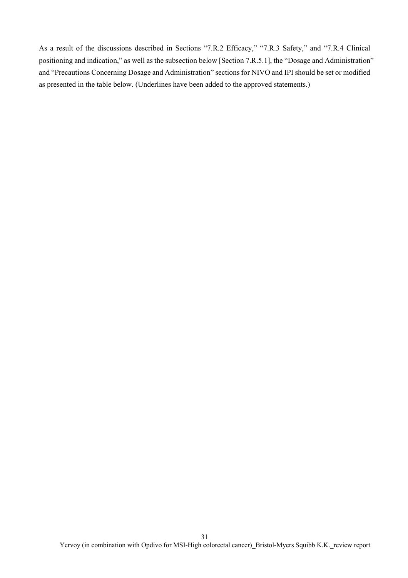As a result of the discussions described in Sections "7.R.2 Efficacy," "7.R.3 Safety," and "7.R.4 Clinical positioning and indication," as well as the subsection below [Section 7.R.5.1], the "Dosage and Administration" and "Precautions Concerning Dosage and Administration" sections for NIVO and IPI should be set or modified as presented in the table below. (Underlines have been added to the approved statements.)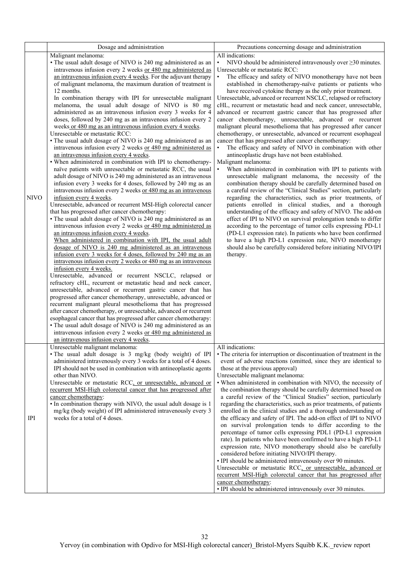|             | Dosage and administration                                                                                                                                                                                                                                                                                                                                                                                                                                                                                                                                                                                                                                                                                                                                                                                                                                                                                                                                                                                                                                                                                                                                                                                                                                                                                                                                                                                                                                                                                                                                                                                                                                                                                                                                                                                                                                                                                                                                                                                                                                                                                                                                                                                                                                                                                                                                                                                                              | Precautions concerning dosage and administration                                                                                                                                                                                                                                                                                                                                                                                                                                                                                                                                                                                                                                                                                                                                                                                                                                                                                                                                                                                                                                                                                                                                                                                                                                                                                                                                                                                                                                                                                                                                                                                                                                                                                                                               |
|-------------|----------------------------------------------------------------------------------------------------------------------------------------------------------------------------------------------------------------------------------------------------------------------------------------------------------------------------------------------------------------------------------------------------------------------------------------------------------------------------------------------------------------------------------------------------------------------------------------------------------------------------------------------------------------------------------------------------------------------------------------------------------------------------------------------------------------------------------------------------------------------------------------------------------------------------------------------------------------------------------------------------------------------------------------------------------------------------------------------------------------------------------------------------------------------------------------------------------------------------------------------------------------------------------------------------------------------------------------------------------------------------------------------------------------------------------------------------------------------------------------------------------------------------------------------------------------------------------------------------------------------------------------------------------------------------------------------------------------------------------------------------------------------------------------------------------------------------------------------------------------------------------------------------------------------------------------------------------------------------------------------------------------------------------------------------------------------------------------------------------------------------------------------------------------------------------------------------------------------------------------------------------------------------------------------------------------------------------------------------------------------------------------------------------------------------------------|--------------------------------------------------------------------------------------------------------------------------------------------------------------------------------------------------------------------------------------------------------------------------------------------------------------------------------------------------------------------------------------------------------------------------------------------------------------------------------------------------------------------------------------------------------------------------------------------------------------------------------------------------------------------------------------------------------------------------------------------------------------------------------------------------------------------------------------------------------------------------------------------------------------------------------------------------------------------------------------------------------------------------------------------------------------------------------------------------------------------------------------------------------------------------------------------------------------------------------------------------------------------------------------------------------------------------------------------------------------------------------------------------------------------------------------------------------------------------------------------------------------------------------------------------------------------------------------------------------------------------------------------------------------------------------------------------------------------------------------------------------------------------------|
| <b>NIVO</b> | Malignant melanoma:<br>• The usual adult dosage of NIVO is 240 mg administered as an<br>intravenous infusion every 2 weeks or 480 mg administered as<br>an intravenous infusion every 4 weeks. For the adjuvant therapy<br>of malignant melanoma, the maximum duration of treatment is<br>12 months.<br>In combination therapy with IPI for unresectable malignant<br>melanoma, the usual adult dosage of NIVO is 80 mg<br>administered as an intravenous infusion every 3 weeks for 4<br>doses, followed by 240 mg as an intravenous infusion every 2<br>weeks or 480 mg as an intravenous infusion every 4 weeks.<br>Unresectable or metastatic RCC:<br>• The usual adult dosage of NIVO is 240 mg administered as an<br>intravenous infusion every 2 weeks or 480 mg administered as<br>an intravenous infusion every 4 weeks.<br>. When administered in combination with IPI to chemotherapy-<br>naïve patients with unresectable or metastatic RCC, the usual<br>adult dosage of NIVO is 240 mg administered as an intravenous<br>infusion every 3 weeks for 4 doses, followed by 240 mg as an<br>intravenous infusion every 2 weeks or 480 mg as an intravenous<br>infusion every 4 weeks.<br>Unresectable, advanced or recurrent MSI-High colorectal cancer<br>that has progressed after cancer chemotherapy:<br>• The usual adult dosage of NIVO is 240 mg administered as an<br>intravenous infusion every 2 weeks or 480 mg administered as<br>an intravenous infusion every 4 weeks.<br>When administered in combination with IPI, the usual adult<br>dosage of NIVO is 240 mg administered as an intravenous<br>infusion every 3 weeks for 4 doses, followed by 240 mg as an<br>intravenous infusion every 2 weeks or 480 mg as an intravenous<br>infusion every 4 weeks.<br>Unresectable, advanced or recurrent NSCLC, relapsed or<br>refractory cHL, recurrent or metastatic head and neck cancer,<br>unresectable, advanced or recurrent gastric cancer that has<br>progressed after cancer chemotherapy, unresectable, advanced or<br>recurrent malignant pleural mesothelioma that has progressed<br>after cancer chemotherapy, or unresectable, advanced or recurrent<br>esophageal cancer that has progressed after cancer chemotherapy:<br>• The usual adult dosage of NIVO is 240 mg administered as an<br>intravenous infusion every 2 weeks or 480 mg administered as<br>an intravenous infusion every 4 weeks. | All indications:<br>NIVO should be administered intravenously over $\geq$ 30 minutes.<br>$\bullet$<br>Unresectable or metastatic RCC:<br>$\bullet$<br>The efficacy and safety of NIVO monotherapy have not been<br>established in chemotherapy-naïve patients or patients who<br>have received cytokine therapy as the only prior treatment.<br>Unresectable, advanced or recurrent NSCLC, relapsed or refractory<br>cHL, recurrent or metastatic head and neck cancer, unresectable,<br>advanced or recurrent gastric cancer that has progressed after<br>cancer chemotherapy, unresectable, advanced or recurrent<br>malignant pleural mesothelioma that has progressed after cancer<br>chemotherapy, or unresectable, advanced or recurrent esophageal<br>cancer that has progressed after cancer chemotherapy:<br>The efficacy and safety of NIVO in combination with other<br>$\bullet$<br>antineoplastic drugs have not been established.<br>Malignant melanoma:<br>$\bullet$<br>When administered in combination with IPI to patients with<br>unresectable malignant melanoma, the necessity of the<br>combination therapy should be carefully determined based on<br>a careful review of the "Clinical Studies" section, particularly<br>regarding the characteristics, such as prior treatments, of<br>patients enrolled in clinical studies, and a thorough<br>understanding of the efficacy and safety of NIVO. The add-on<br>effect of IPI to NIVO on survival prolongation tends to differ<br>according to the percentage of tumor cells expressing PD-L1<br>(PD-L1 expression rate). In patients who have been confirmed<br>to have a high PD-L1 expression rate, NIVO monotherapy<br>should also be carefully considered before initiating NIVO/IPI<br>therapy. |
| <b>IPI</b>  | Unresectable malignant melanoma:<br>· The usual adult dosage is 3 mg/kg (body weight) of IPI<br>administered intravenously every 3 weeks for a total of 4 doses.<br>IPI should not be used in combination with antineoplastic agents<br>other than NIVO.<br>Unresectable or metastatic RCC, or unresectable, advanced or<br>recurrent MSI-High colorectal cancer that has progressed after<br>cancer chemotherapy:<br>· In combination therapy with NIVO, the usual adult dosage is 1<br>mg/kg (body weight) of IPI administered intravenously every 3<br>weeks for a total of 4 doses.                                                                                                                                                                                                                                                                                                                                                                                                                                                                                                                                                                                                                                                                                                                                                                                                                                                                                                                                                                                                                                                                                                                                                                                                                                                                                                                                                                                                                                                                                                                                                                                                                                                                                                                                                                                                                                                | All indications:<br>• The criteria for interruption or discontinuation of treatment in the<br>event of adverse reactions (omitted, since they are identical to<br>those at the previous approval)<br>Unresectable malignant melanoma:<br>. When administered in combination with NIVO, the necessity of<br>the combination therapy should be carefully determined based on<br>a careful review of the "Clinical Studies" section, particularly<br>regarding the characteristics, such as prior treatments, of patients<br>enrolled in the clinical studies and a thorough understanding of<br>the efficacy and safety of IPI. The add-on effect of IPI to NIVO<br>on survival prolongation tends to differ according to the<br>percentage of tumor cells expressing PDL1 (PD-L1 expression<br>rate). In patients who have been confirmed to have a high PD-L1<br>expression rate, NIVO monotherapy should also be carefully<br>considered before initiating NIVO/IPI therapy.<br>• IPI should be administered intravenously over 90 minutes.<br>Unresectable or metastatic RCC, or unresectable, advanced or<br>recurrent MSI-High colorectal cancer that has progressed after<br>cancer chemotherapy:<br>· IPI should be administered intravenously over 30 minutes.                                                                                                                                                                                                                                                                                                                                                                                                                                                                                                          |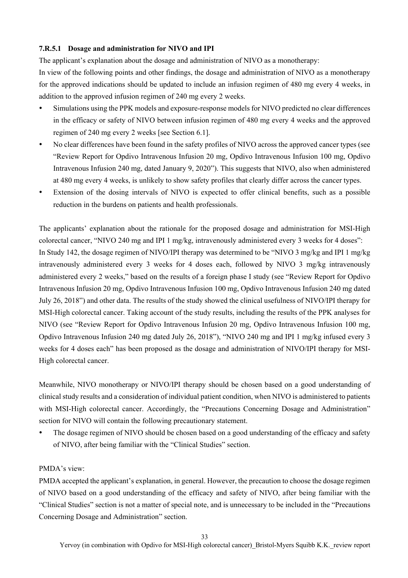### **7.R.5.1 Dosage and administration for NIVO and IPI**

The applicant's explanation about the dosage and administration of NIVO as a monotherapy:

In view of the following points and other findings, the dosage and administration of NIVO as a monotherapy for the approved indications should be updated to include an infusion regimen of 480 mg every 4 weeks, in addition to the approved infusion regimen of 240 mg every 2 weeks.

- Simulations using the PPK models and exposure-response models for NIVO predicted no clear differences in the efficacy or safety of NIVO between infusion regimen of 480 mg every 4 weeks and the approved regimen of 240 mg every 2 weeks [see Section 6.1].
- No clear differences have been found in the safety profiles of NIVO across the approved cancer types (see "Review Report for Opdivo Intravenous Infusion 20 mg, Opdivo Intravenous Infusion 100 mg, Opdivo Intravenous Infusion 240 mg, dated January 9, 2020"). This suggests that NIVO, also when administered at 480 mg every 4 weeks, is unlikely to show safety profiles that clearly differ across the cancer types.
- Extension of the dosing intervals of NIVO is expected to offer clinical benefits, such as a possible reduction in the burdens on patients and health professionals.

The applicants' explanation about the rationale for the proposed dosage and administration for MSI-High colorectal cancer, "NIVO 240 mg and IPI 1 mg/kg, intravenously administered every 3 weeks for 4 doses": In Study 142, the dosage regimen of NIVO/IPI therapy was determined to be "NIVO 3 mg/kg and IPI 1 mg/kg intravenously administered every 3 weeks for 4 doses each, followed by NIVO 3 mg/kg intravenously administered every 2 weeks," based on the results of a foreign phase I study (see "Review Report for Opdivo Intravenous Infusion 20 mg, Opdivo Intravenous Infusion 100 mg, Opdivo Intravenous Infusion 240 mg dated July 26, 2018") and other data. The results of the study showed the clinical usefulness of NIVO/IPI therapy for MSI-High colorectal cancer. Taking account of the study results, including the results of the PPK analyses for NIVO (see "Review Report for Opdivo Intravenous Infusion 20 mg, Opdivo Intravenous Infusion 100 mg, Opdivo Intravenous Infusion 240 mg dated July 26, 2018"), "NIVO 240 mg and IPI 1 mg/kg infused every 3 weeks for 4 doses each" has been proposed as the dosage and administration of NIVO/IPI therapy for MSI-High colorectal cancer.

Meanwhile, NIVO monotherapy or NIVO/IPI therapy should be chosen based on a good understanding of clinical study results and a consideration of individual patient condition, when NIVO is administered to patients with MSI-High colorectal cancer. Accordingly, the "Precautions Concerning Dosage and Administration" section for NIVO will contain the following precautionary statement.

 The dosage regimen of NIVO should be chosen based on a good understanding of the efficacy and safety of NIVO, after being familiar with the "Clinical Studies" section.

### PMDA's view:

PMDA accepted the applicant's explanation, in general. However, the precaution to choose the dosage regimen of NIVO based on a good understanding of the efficacy and safety of NIVO, after being familiar with the "Clinical Studies" section is not a matter of special note, and is unnecessary to be included in the "Precautions Concerning Dosage and Administration" section.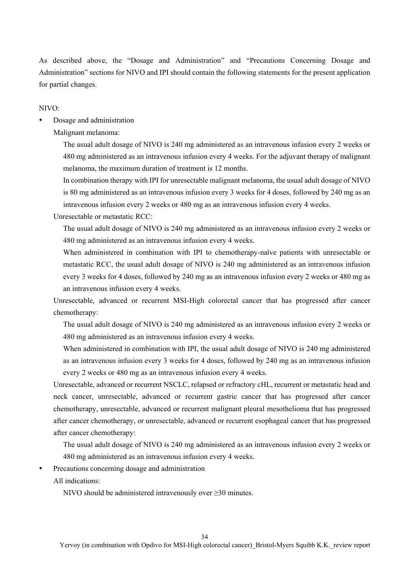As described above, the "Dosage and Administration" and "Precautions Concerning Dosage and Administration" sections for NIVO and IPI should contain the following statements for the present application for partial changes.

NIVO:

Dosage and administration

Malignant melanoma:

The usual adult dosage of NIVO is 240 mg administered as an intravenous infusion every 2 weeks or 480 mg administered as an intravenous infusion every 4 weeks. For the adjuvant therapy of malignant melanoma, the maximum duration of treatment is 12 months.

In combination therapy with IPI for unresectable malignant melanoma, the usual adult dosage of NIVO is 80 mg administered as an intravenous infusion every 3 weeks for 4 doses, followed by 240 mg as an intravenous infusion every 2 weeks or 480 mg as an intravenous infusion every 4 weeks.

Unresectable or metastatic RCC:

The usual adult dosage of NIVO is 240 mg administered as an intravenous infusion every 2 weeks or 480 mg administered as an intravenous infusion every 4 weeks.

When administered in combination with IPI to chemotherapy-naïve patients with unresectable or metastatic RCC, the usual adult dosage of NIVO is 240 mg administered as an intravenous infusion every 3 weeks for 4 doses, followed by 240 mg as an intravenous infusion every 2 weeks or 480 mg as an intravenous infusion every 4 weeks.

Unresectable, advanced or recurrent MSI-High colorectal cancer that has progressed after cancer chemotherapy:

The usual adult dosage of NIVO is 240 mg administered as an intravenous infusion every 2 weeks or 480 mg administered as an intravenous infusion every 4 weeks.

When administered in combination with IPI, the usual adult dosage of NIVO is 240 mg administered as an intravenous infusion every 3 weeks for 4 doses, followed by 240 mg as an intravenous infusion every 2 weeks or 480 mg as an intravenous infusion every 4 weeks.

Unresectable, advanced or recurrent NSCLC, relapsed or refractory cHL, recurrent or metastatic head and neck cancer, unresectable, advanced or recurrent gastric cancer that has progressed after cancer chemotherapy, unresectable, advanced or recurrent malignant pleural mesothelioma that has progressed after cancer chemotherapy, or unresectable, advanced or recurrent esophageal cancer that has progressed after cancer chemotherapy:

The usual adult dosage of NIVO is 240 mg administered as an intravenous infusion every 2 weeks or 480 mg administered as an intravenous infusion every 4 weeks.

Precautions concerning dosage and administration

All indications:

NIVO should be administered intravenously over ≥30 minutes.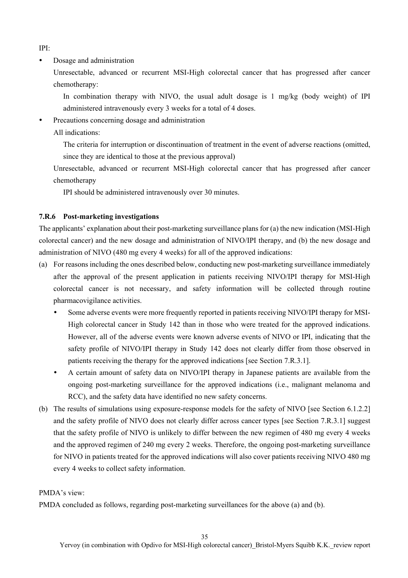IPI:

• Dosage and administration

Unresectable, advanced or recurrent MSI-High colorectal cancer that has progressed after cancer chemotherapy:

In combination therapy with NIVO, the usual adult dosage is 1 mg/kg (body weight) of IPI administered intravenously every 3 weeks for a total of 4 doses.

- Precautions concerning dosage and administration
	- All indications:

The criteria for interruption or discontinuation of treatment in the event of adverse reactions (omitted, since they are identical to those at the previous approval)

Unresectable, advanced or recurrent MSI-High colorectal cancer that has progressed after cancer chemotherapy

IPI should be administered intravenously over 30 minutes.

### **7.R.6 Post-marketing investigations**

The applicants' explanation about their post-marketing surveillance plans for (a) the new indication (MSI-High colorectal cancer) and the new dosage and administration of NIVO/IPI therapy, and (b) the new dosage and administration of NIVO (480 mg every 4 weeks) for all of the approved indications:

- (a) For reasons including the ones described below, conducting new post-marketing surveillance immediately after the approval of the present application in patients receiving NIVO/IPI therapy for MSI-High colorectal cancer is not necessary, and safety information will be collected through routine pharmacovigilance activities.
	- Some adverse events were more frequently reported in patients receiving NIVO/IPI therapy for MSI-High colorectal cancer in Study 142 than in those who were treated for the approved indications. However, all of the adverse events were known adverse events of NIVO or IPI, indicating that the safety profile of NIVO/IPI therapy in Study 142 does not clearly differ from those observed in patients receiving the therapy for the approved indications [see Section 7.R.3.1].
	- A certain amount of safety data on NIVO/IPI therapy in Japanese patients are available from the ongoing post-marketing surveillance for the approved indications (i.e., malignant melanoma and RCC), and the safety data have identified no new safety concerns.
- (b) The results of simulations using exposure-response models for the safety of NIVO [see Section 6.1.2.2] and the safety profile of NIVO does not clearly differ across cancer types [see Section 7.R.3.1] suggest that the safety profile of NIVO is unlikely to differ between the new regimen of 480 mg every 4 weeks and the approved regimen of 240 mg every 2 weeks. Therefore, the ongoing post-marketing surveillance for NIVO in patients treated for the approved indications will also cover patients receiving NIVO 480 mg every 4 weeks to collect safety information.

### PMDA's view:

PMDA concluded as follows, regarding post-marketing surveillances for the above (a) and (b).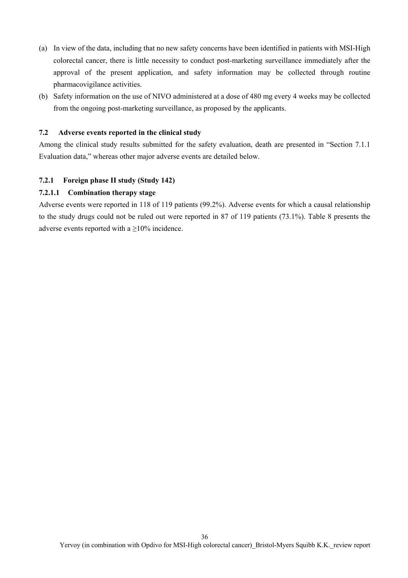- (a) In view of the data, including that no new safety concerns have been identified in patients with MSI-High colorectal cancer, there is little necessity to conduct post-marketing surveillance immediately after the approval of the present application, and safety information may be collected through routine pharmacovigilance activities.
- (b) Safety information on the use of NIVO administered at a dose of 480 mg every 4 weeks may be collected from the ongoing post-marketing surveillance, as proposed by the applicants.

#### **7.2 Adverse events reported in the clinical study**

Among the clinical study results submitted for the safety evaluation, death are presented in "Section 7.1.1 Evaluation data," whereas other major adverse events are detailed below.

#### **7.2.1 Foreign phase II study (Study 142)**

#### **7.2.1.1 Combination therapy stage**

Adverse events were reported in 118 of 119 patients (99.2%). Adverse events for which a causal relationship to the study drugs could not be ruled out were reported in 87 of 119 patients (73.1%). Table 8 presents the adverse events reported with a  $\geq$ 10% incidence.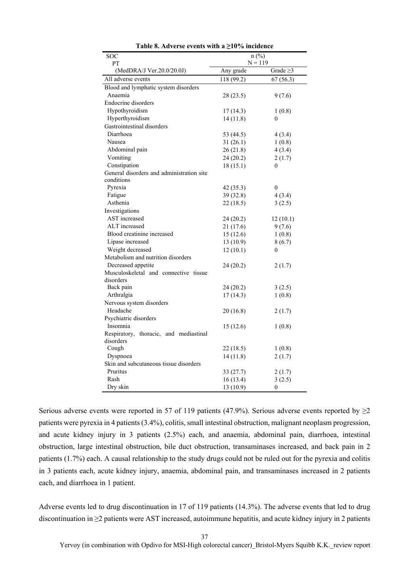| SOC                                       | $n$ (%)    |                  |
|-------------------------------------------|------------|------------------|
| PT                                        | $N = 119$  |                  |
| (MedDRA/J Ver.20.0/20.0J)                 | Any grade  | Grade $\geq$ 3   |
| All adverse events                        | 118 (99.2) | 67(56.3)         |
| Blood and lymphatic system disorders      |            |                  |
| Anaemia                                   | 28(23.5)   | 9(7.6)           |
| Endocrine disorders                       |            |                  |
| Hypothyroidism                            | 17 (14.3)  | 1(0.8)           |
| Hyperthyroidism                           | 14(11.8)   | 0                |
| Gastrointestinal disorders                |            |                  |
| Diarrhoea                                 | 53 (44.5)  | 4(3.4)           |
| Nausea                                    | 31(26.1)   | 1(0.8)           |
| Abdominal pain                            | 26(21.8)   | 4(3.4)           |
| Vomiting                                  | 24 (20.2)  | 2(1.7)           |
| Constipation                              | 18(15.1)   | $\boldsymbol{0}$ |
| General disorders and administration site |            |                  |
| conditions                                |            |                  |
| Pyrexia                                   | 42 (35.3)  | $\theta$         |
| Fatigue                                   | 39 (32.8)  | 4(3.4)           |
| Asthenia                                  | 22 (18.5)  | 3(2.5)           |
| Investigations                            |            |                  |
| AST increased                             | 24(20.2)   | 12(10.1)         |
| ALT increased                             | 21(17.6)   | 9(7.6)           |
| Blood creatinine increased                | 15(12.6)   | 1(0.8)           |
| Lipase increased                          | 13(10.9)   | 8(6.7)           |
| Weight decreased                          | 12(10.1)   | $\theta$         |
| Metabolism and nutrition disorders        |            |                  |
| Decreased appetite                        | 24 (20.2)  | 2(1.7)           |
| Musculoskeletal and connective tissue     |            |                  |
| disorders                                 |            |                  |
| Back pain                                 | 24 (20.2)  | 3(2.5)           |
| Arthralgia                                | 17 (14.3)  | 1(0.8)           |
| Nervous system disorders                  |            |                  |
| Headache                                  | 20(16.8)   | 2(1.7)           |
| Psychiatric disorders                     |            |                  |
| Insomnia                                  | 15(12.6)   | 1(0.8)           |
| Respiratory, thoracic, and mediastinal    |            |                  |
| disorders                                 |            |                  |
| Cough                                     | 22 (18.5)  | 1(0.8)           |
| Dyspnoea                                  | 14(11.8)   | 2(1.7)           |
| Skin and subcutaneous tissue disorders    |            |                  |
| Pruritus                                  | 33(27.7)   | 2(1.7)           |
| Rash                                      | 16 (13.4)  | 3(2.5)           |
| Dry skin                                  | 13 (10.9)  | $\boldsymbol{0}$ |

**Table 8. Adverse events with a ≥10% incidence** 

Serious adverse events were reported in 57 of 119 patients (47.9%). Serious adverse events reported by  $\geq$ 2 patients were pyrexia in 4 patients (3.4%), colitis, small intestinal obstruction, malignant neoplasm progression, and acute kidney injury in 3 patients (2.5%) each, and anaemia, abdominal pain, diarrhoea, intestinal obstruction, large intestinal obstruction, bile duct obstruction, transaminases increased, and back pain in 2 patients (1.7%) each. A causal relationship to the study drugs could not be ruled out for the pyrexia and colitis in 3 patients each, acute kidney injury, anaemia, abdominal pain, and transaminases increased in 2 patients each, and diarrhoea in 1 patient.

Adverse events led to drug discontinuation in 17 of 119 patients (14.3%). The adverse events that led to drug discontinuation in ≥2 patients were AST increased, autoimmune hepatitis, and acute kidney injury in 2 patients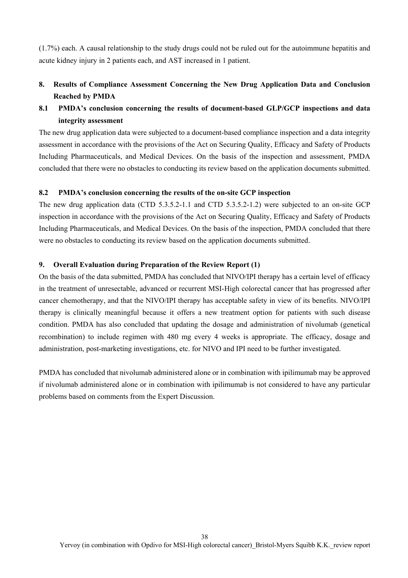(1.7%) each. A causal relationship to the study drugs could not be ruled out for the autoimmune hepatitis and acute kidney injury in 2 patients each, and AST increased in 1 patient.

# **8. Results of Compliance Assessment Concerning the New Drug Application Data and Conclusion Reached by PMDA**

# **8.1 PMDA's conclusion concerning the results of document-based GLP/GCP inspections and data integrity assessment**

The new drug application data were subjected to a document-based compliance inspection and a data integrity assessment in accordance with the provisions of the Act on Securing Quality, Efficacy and Safety of Products Including Pharmaceuticals, and Medical Devices. On the basis of the inspection and assessment, PMDA concluded that there were no obstacles to conducting its review based on the application documents submitted.

#### **8.2 PMDA's conclusion concerning the results of the on-site GCP inspection**

The new drug application data (CTD 5.3.5.2-1.1 and CTD 5.3.5.2-1.2) were subjected to an on-site GCP inspection in accordance with the provisions of the Act on Securing Quality, Efficacy and Safety of Products Including Pharmaceuticals, and Medical Devices. On the basis of the inspection, PMDA concluded that there were no obstacles to conducting its review based on the application documents submitted.

#### **9. Overall Evaluation during Preparation of the Review Report (1)**

On the basis of the data submitted, PMDA has concluded that NIVO/IPI therapy has a certain level of efficacy in the treatment of unresectable, advanced or recurrent MSI-High colorectal cancer that has progressed after cancer chemotherapy, and that the NIVO/IPI therapy has acceptable safety in view of its benefits. NIVO/IPI therapy is clinically meaningful because it offers a new treatment option for patients with such disease condition. PMDA has also concluded that updating the dosage and administration of nivolumab (genetical recombination) to include regimen with 480 mg every 4 weeks is appropriate. The efficacy, dosage and administration, post-marketing investigations, etc. for NIVO and IPI need to be further investigated.

PMDA has concluded that nivolumab administered alone or in combination with ipilimumab may be approved if nivolumab administered alone or in combination with ipilimumab is not considered to have any particular problems based on comments from the Expert Discussion.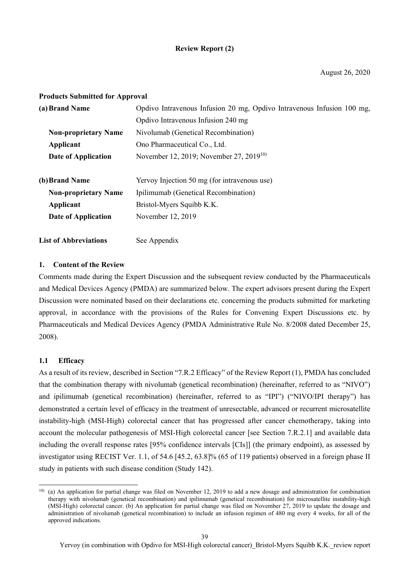### **Review Report (2)**

#### **Products Submitted for Approval**

| (a) Brand Name                                                             | Opdivo Intravenous Infusion 20 mg, Opdivo Intravenous Infusion 100 mg, |  |
|----------------------------------------------------------------------------|------------------------------------------------------------------------|--|
|                                                                            | Opdivo Intravenous Infusion 240 mg                                     |  |
| <b>Non-proprietary Name</b>                                                | Nivolumab (Genetical Recombination)                                    |  |
| Ono Pharmaceutical Co., Ltd.<br>Applicant                                  |                                                                        |  |
| November 12, 2019; November 27, 2019 <sup>10)</sup><br>Date of Application |                                                                        |  |
| (b) Brand Name                                                             | Yervoy Injection 50 mg (for intravenous use)                           |  |
| <b>Non-proprietary Name</b><br>Ipilimumab (Genetical Recombination)        |                                                                        |  |
| Applicant                                                                  | Bristol-Myers Squibb K.K.                                              |  |
| Date of Application                                                        | November 12, 2019                                                      |  |
| <b>List of Abbreviations</b>                                               | See Appendix                                                           |  |

#### **1. Content of the Review**

Comments made during the Expert Discussion and the subsequent review conducted by the Pharmaceuticals and Medical Devices Agency (PMDA) are summarized below. The expert advisors present during the Expert Discussion were nominated based on their declarations etc. concerning the products submitted for marketing approval, in accordance with the provisions of the Rules for Convening Expert Discussions etc. by Pharmaceuticals and Medical Devices Agency (PMDA Administrative Rule No. 8/2008 dated December 25, 2008).

#### **1.1 Efficacy**

l

As a result of its review, described in Section "7.R.2 Efficacy" of the Review Report (1), PMDA has concluded that the combination therapy with nivolumab (genetical recombination) (hereinafter, referred to as "NIVO") and ipilimumab (genetical recombination) (hereinafter, referred to as "IPI") ("NIVO/IPI therapy") has demonstrated a certain level of efficacy in the treatment of unresectable, advanced or recurrent microsatellite instability-high (MSI-High) colorectal cancer that has progressed after cancer chemotherapy, taking into account the molecular pathogenesis of MSI-High colorectal cancer [see Section 7.R.2.1] and available data including the overall response rates [95% confidence intervals [CIs]] (the primary endpoint), as assessed by investigator using RECIST Ver. 1.1, of 54.6 [45.2, 63.8]% (65 of 119 patients) observed in a foreign phase II study in patients with such disease condition (Study 142).

<sup>10) (</sup>a) An application for partial change was filed on November 12, 2019 to add a new dosage and administration for combination therapy with nivolumab (genetical recombination) and ipilimumab (genetical recombination) for microsatellite instability-high (MSI-High) colorectal cancer. (b) An application for partial change was filed on November 27, 2019 to update the dosage and administration of nivolumab (genetical recombination) to include an infusion regimen of 480 mg every 4 weeks, for all of the approved indications.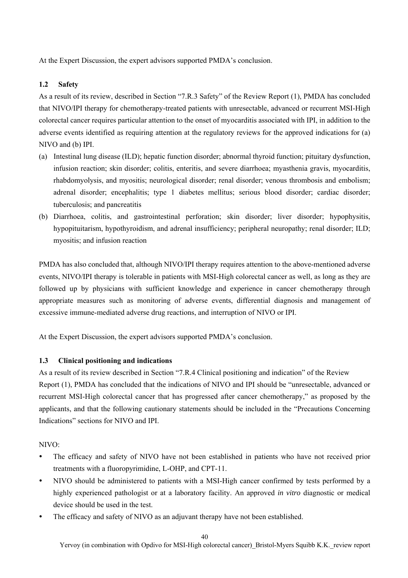At the Expert Discussion, the expert advisors supported PMDA's conclusion.

### **1.2 Safety**

As a result of its review, described in Section "7.R.3 Safety" of the Review Report (1), PMDA has concluded that NIVO/IPI therapy for chemotherapy-treated patients with unresectable, advanced or recurrent MSI-High colorectal cancer requires particular attention to the onset of myocarditis associated with IPI, in addition to the adverse events identified as requiring attention at the regulatory reviews for the approved indications for (a) NIVO and (b) IPI.

- (a) Intestinal lung disease (ILD); hepatic function disorder; abnormal thyroid function; pituitary dysfunction, infusion reaction; skin disorder; colitis, enteritis, and severe diarrhoea; myasthenia gravis, myocarditis, rhabdomyolysis, and myositis; neurological disorder; renal disorder; venous thrombosis and embolism; adrenal disorder; encephalitis; type 1 diabetes mellitus; serious blood disorder; cardiac disorder; tuberculosis; and pancreatitis
- (b) Diarrhoea, colitis, and gastrointestinal perforation; skin disorder; liver disorder; hypophysitis, hypopituitarism, hypothyroidism, and adrenal insufficiency; peripheral neuropathy; renal disorder; ILD; myositis; and infusion reaction

PMDA has also concluded that, although NIVO/IPI therapy requires attention to the above-mentioned adverse events, NIVO/IPI therapy is tolerable in patients with MSI-High colorectal cancer as well, as long as they are followed up by physicians with sufficient knowledge and experience in cancer chemotherapy through appropriate measures such as monitoring of adverse events, differential diagnosis and management of excessive immune-mediated adverse drug reactions, and interruption of NIVO or IPI.

At the Expert Discussion, the expert advisors supported PMDA's conclusion.

### **1.3 Clinical positioning and indications**

As a result of its review described in Section "7.R.4 Clinical positioning and indication" of the Review Report (1), PMDA has concluded that the indications of NIVO and IPI should be "unresectable, advanced or recurrent MSI-High colorectal cancer that has progressed after cancer chemotherapy," as proposed by the applicants, and that the following cautionary statements should be included in the "Precautions Concerning Indications" sections for NIVO and IPI.

#### NIVO:

- The efficacy and safety of NIVO have not been established in patients who have not received prior treatments with a fluoropyrimidine, L-OHP, and CPT-11.
- NIVO should be administered to patients with a MSI-High cancer confirmed by tests performed by a highly experienced pathologist or at a laboratory facility. An approved *in vitro* diagnostic or medical device should be used in the test.
- The efficacy and safety of NIVO as an adjuvant therapy have not been established.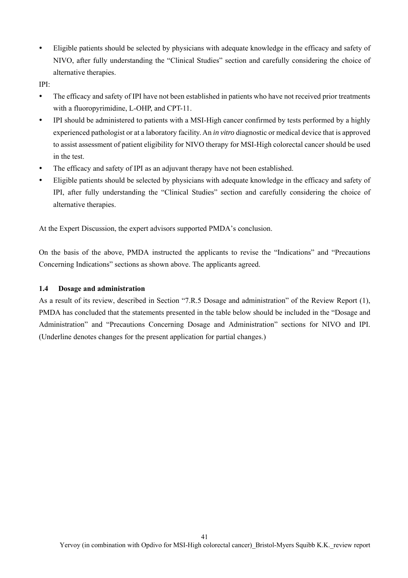Eligible patients should be selected by physicians with adequate knowledge in the efficacy and safety of NIVO, after fully understanding the "Clinical Studies" section and carefully considering the choice of alternative therapies.

IPI:

- The efficacy and safety of IPI have not been established in patients who have not received prior treatments with a fluoropyrimidine, L-OHP, and CPT-11.
- IPI should be administered to patients with a MSI-High cancer confirmed by tests performed by a highly experienced pathologist or at a laboratory facility. An *in vitro* diagnostic or medical device that is approved to assist assessment of patient eligibility for NIVO therapy for MSI-High colorectal cancer should be used in the test.
- The efficacy and safety of IPI as an adjuvant therapy have not been established.
- Eligible patients should be selected by physicians with adequate knowledge in the efficacy and safety of IPI, after fully understanding the "Clinical Studies" section and carefully considering the choice of alternative therapies.

At the Expert Discussion, the expert advisors supported PMDA's conclusion.

On the basis of the above, PMDA instructed the applicants to revise the "Indications" and "Precautions Concerning Indications" sections as shown above. The applicants agreed.

### **1.4 Dosage and administration**

As a result of its review, described in Section "7.R.5 Dosage and administration" of the Review Report (1), PMDA has concluded that the statements presented in the table below should be included in the "Dosage and Administration" and "Precautions Concerning Dosage and Administration" sections for NIVO and IPI. (Underline denotes changes for the present application for partial changes.)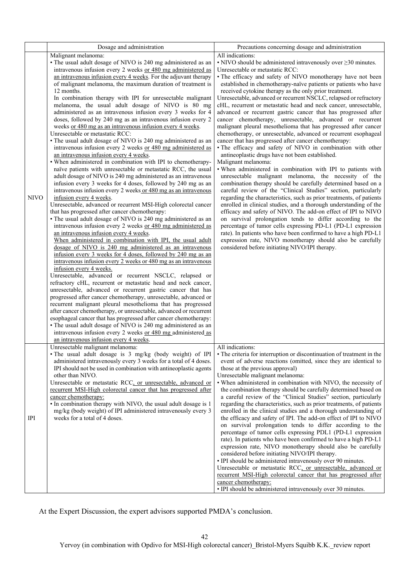|             | Dosage and administration                                                                                                                                                                                                                                                                                                                                                                                                                                                                                                                                                                                                                                                                                                                                                                                                                                                                                                                                                                                                                                                                                                                                                                                                                                                                                                                                                                                                                                                                                                                                                                                                                                                                                                                                                                                                                                                                                                                                                                                                                                                                                                                                                                                                                                                                                                                                                                    | Precautions concerning dosage and administration                                                                                                                                                                                                                                                                                                                                                                                                                                                                                                                                                                                                                                                                                                                                                                                                                                                                                                                                                                                                                                                                                                                                                                                                                                                                                                                                                                                                                                                                                                                                                                                                                                                                                      |
|-------------|----------------------------------------------------------------------------------------------------------------------------------------------------------------------------------------------------------------------------------------------------------------------------------------------------------------------------------------------------------------------------------------------------------------------------------------------------------------------------------------------------------------------------------------------------------------------------------------------------------------------------------------------------------------------------------------------------------------------------------------------------------------------------------------------------------------------------------------------------------------------------------------------------------------------------------------------------------------------------------------------------------------------------------------------------------------------------------------------------------------------------------------------------------------------------------------------------------------------------------------------------------------------------------------------------------------------------------------------------------------------------------------------------------------------------------------------------------------------------------------------------------------------------------------------------------------------------------------------------------------------------------------------------------------------------------------------------------------------------------------------------------------------------------------------------------------------------------------------------------------------------------------------------------------------------------------------------------------------------------------------------------------------------------------------------------------------------------------------------------------------------------------------------------------------------------------------------------------------------------------------------------------------------------------------------------------------------------------------------------------------------------------------|---------------------------------------------------------------------------------------------------------------------------------------------------------------------------------------------------------------------------------------------------------------------------------------------------------------------------------------------------------------------------------------------------------------------------------------------------------------------------------------------------------------------------------------------------------------------------------------------------------------------------------------------------------------------------------------------------------------------------------------------------------------------------------------------------------------------------------------------------------------------------------------------------------------------------------------------------------------------------------------------------------------------------------------------------------------------------------------------------------------------------------------------------------------------------------------------------------------------------------------------------------------------------------------------------------------------------------------------------------------------------------------------------------------------------------------------------------------------------------------------------------------------------------------------------------------------------------------------------------------------------------------------------------------------------------------------------------------------------------------|
| <b>NIVO</b> | Malignant melanoma:<br>• The usual adult dosage of NIVO is 240 mg administered as an<br>intravenous infusion every 2 weeks or 480 mg administered as<br>an intravenous infusion every 4 weeks. For the adjuvant therapy<br>of malignant melanoma, the maximum duration of treatment is<br>12 months.<br>In combination therapy with IPI for unresectable malignant<br>melanoma, the usual adult dosage of NIVO is 80 mg<br>administered as an intravenous infusion every 3 weeks for 4<br>doses, followed by 240 mg as an intravenous infusion every 2<br>weeks or 480 mg as an intravenous infusion every 4 weeks.<br>Unresectable or metastatic RCC:<br>• The usual adult dosage of NIVO is 240 mg administered as an<br>intravenous infusion every 2 weeks or 480 mg administered as<br>an intravenous infusion every 4 weeks.<br>• When administered in combination with IPI to chemotherapy-<br>naïve patients with unresectable or metastatic RCC, the usual<br>adult dosage of NIVO is 240 mg administered as an intravenous<br>infusion every 3 weeks for 4 doses, followed by 240 mg as an<br>intravenous infusion every 2 weeks or 480 mg as an intravenous<br>infusion every 4 weeks.<br>Unresectable, advanced or recurrent MSI-High colorectal cancer<br>that has progressed after cancer chemotherapy:<br>• The usual adult dosage of NIVO is 240 mg administered as an<br>intravenous infusion every 2 weeks or 480 mg administered as<br>an intravenous infusion every 4 weeks.<br>When administered in combination with IPI, the usual adult<br>dosage of NIVO is 240 mg administered as an intravenous<br>infusion every 3 weeks for 4 doses, followed by 240 mg as an<br>intravenous infusion every 2 weeks or 480 mg as an intravenous<br>infusion every 4 weeks.<br>Unresectable, advanced or recurrent NSCLC, relapsed or<br>refractory cHL, recurrent or metastatic head and neck cancer,<br>unresectable, advanced or recurrent gastric cancer that has<br>progressed after cancer chemotherapy, unresectable, advanced or<br>recurrent malignant pleural mesothelioma that has progressed<br>after cancer chemotherapy, or unresectable, advanced or recurrent<br>esophageal cancer that has progressed after cancer chemotherapy:<br>• The usual adult dosage of NIVO is 240 mg administered as an<br>intravenous infusion every 2 weeks or 480 mg administered as | All indications:<br>$\cdot$ NIVO should be administered intravenously over $\geq$ 30 minutes.<br>Unresectable or metastatic RCC:<br>• The efficacy and safety of NIVO monotherapy have not been<br>established in chemotherapy-naïve patients or patients who have<br>received cytokine therapy as the only prior treatment.<br>Unresectable, advanced or recurrent NSCLC, relapsed or refractory<br>cHL, recurrent or metastatic head and neck cancer, unresectable,<br>advanced or recurrent gastric cancer that has progressed after<br>cancer chemotherapy, unresectable, advanced or recurrent<br>malignant pleural mesothelioma that has progressed after cancer<br>chemotherapy, or unresectable, advanced or recurrent esophageal<br>cancer that has progressed after cancer chemotherapy:<br>· The efficacy and safety of NIVO in combination with other<br>antineoplastic drugs have not been established.<br>Malignant melanoma:<br>. When administered in combination with IPI to patients with<br>unresectable malignant melanoma, the necessity of the<br>combination therapy should be carefully determined based on a<br>careful review of the "Clinical Studies" section, particularly<br>regarding the characteristics, such as prior treatments, of patients<br>enrolled in clinical studies, and a thorough understanding of the<br>efficacy and safety of NIVO. The add-on effect of IPI to NIVO<br>on survival prolongation tends to differ according to the<br>percentage of tumor cells expressing PD-L1 (PD-L1 expression<br>rate). In patients who have been confirmed to have a high PD-L1<br>expression rate, NIVO monotherapy should also be carefully<br>considered before initiating NIVO/IPI therapy. |
| IPI         | an intravenous infusion every 4 weeks.<br>Unresectable malignant melanoma:<br>· The usual adult dosage is 3 mg/kg (body weight) of IPI<br>administered intravenously every 3 weeks for a total of 4 doses.<br>IPI should not be used in combination with antineoplastic agents<br>other than NIVO.<br>Unresectable or metastatic RCC, or unresectable, advanced or<br>recurrent MSI-High colorectal cancer that has progressed after<br>cancer chemotherapy:<br>• In combination therapy with NIVO, the usual adult dosage is 1<br>mg/kg (body weight) of IPI administered intravenously every 3<br>weeks for a total of 4 doses.                                                                                                                                                                                                                                                                                                                                                                                                                                                                                                                                                                                                                                                                                                                                                                                                                                                                                                                                                                                                                                                                                                                                                                                                                                                                                                                                                                                                                                                                                                                                                                                                                                                                                                                                                            | All indications:<br>• The criteria for interruption or discontinuation of treatment in the<br>event of adverse reactions (omitted, since they are identical to<br>those at the previous approval)<br>Unresectable malignant melanoma:<br>• When administered in combination with NIVO, the necessity of<br>the combination therapy should be carefully determined based on<br>a careful review of the "Clinical Studies" section, particularly<br>regarding the characteristics, such as prior treatments, of patients<br>enrolled in the clinical studies and a thorough understanding of<br>the efficacy and safety of IPI. The add-on effect of IPI to NIVO<br>on survival prolongation tends to differ according to the<br>percentage of tumor cells expressing PDL1 (PD-L1 expression<br>rate). In patients who have been confirmed to have a high PD-L1<br>expression rate, NIVO monotherapy should also be carefully<br>considered before initiating NIVO/IPI therapy.<br>• IPI should be administered intravenously over 90 minutes.<br>Unresectable or metastatic RCC, or unresectable, advanced or<br>recurrent MSI-High colorectal cancer that has progressed after<br>cancer chemotherapy:<br>• IPI should be administered intravenously over 30 minutes.                                                                                                                                                                                                                                                                                                                                                                                                                                                                 |

At the Expert Discussion, the expert advisors supported PMDA's conclusion.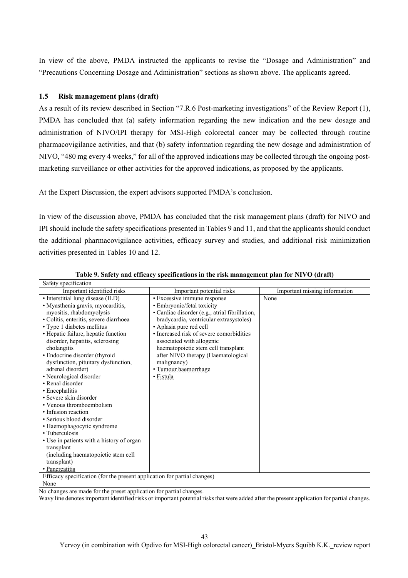In view of the above, PMDA instructed the applicants to revise the "Dosage and Administration" and "Precautions Concerning Dosage and Administration" sections as shown above. The applicants agreed.

#### **1.5 Risk management plans (draft)**

As a result of its review described in Section "7.R.6 Post-marketing investigations" of the Review Report (1), PMDA has concluded that (a) safety information regarding the new indication and the new dosage and administration of NIVO/IPI therapy for MSI-High colorectal cancer may be collected through routine pharmacovigilance activities, and that (b) safety information regarding the new dosage and administration of NIVO, "480 mg every 4 weeks," for all of the approved indications may be collected through the ongoing postmarketing surveillance or other activities for the approved indications, as proposed by the applicants.

At the Expert Discussion, the expert advisors supported PMDA's conclusion.

In view of the discussion above, PMDA has concluded that the risk management plans (draft) for NIVO and IPI should include the safety specifications presented in Tables 9 and 11, and that the applicants should conduct the additional pharmacovigilance activities, efficacy survey and studies, and additional risk minimization activities presented in Tables 10 and 12.

| Safety specification                                                     |                                                |                               |  |
|--------------------------------------------------------------------------|------------------------------------------------|-------------------------------|--|
| Important identified risks                                               | Important potential risks                      | Important missing information |  |
| • Interstitial lung disease (ILD)                                        | · Excessive immune response                    | None                          |  |
| · Myasthenia gravis, myocarditis,                                        | • Embryonic/fetal toxicity                     |                               |  |
| myositis, rhabdomyolysis                                                 | · Cardiac disorder (e.g., atrial fibrillation, |                               |  |
| · Colitis, enteritis, severe diarrhoea                                   | bradycardia, ventricular extrasystoles)        |                               |  |
| • Type 1 diabetes mellitus                                               | • Aplasia pure red cell                        |                               |  |
| • Hepatic failure, hepatic function                                      | • Increased risk of severe comorbidities       |                               |  |
| disorder, hepatitis, sclerosing                                          | associated with allogenic                      |                               |  |
| cholangitis                                                              | haematopoietic stem cell transplant            |                               |  |
| • Endocrine disorder (thyroid                                            | after NIVO therapy (Haematological             |                               |  |
| dysfunction, pituitary dysfunction,                                      | malignancy)                                    |                               |  |
| adrenal disorder)                                                        | · Tumour haemorrhage                           |                               |  |
| • Neurological disorder                                                  | • Fistula                                      |                               |  |
| • Renal disorder                                                         |                                                |                               |  |
| • Encephalitis                                                           |                                                |                               |  |
| • Severe skin disorder                                                   |                                                |                               |  |
| • Venous thromboembolism                                                 |                                                |                               |  |
| • Infusion reaction                                                      |                                                |                               |  |
| • Serious blood disorder                                                 |                                                |                               |  |
| · Haemophagocytic syndrome                                               |                                                |                               |  |
| • Tuberculosis                                                           |                                                |                               |  |
| • Use in patients with a history of organ                                |                                                |                               |  |
| transplant                                                               |                                                |                               |  |
| (including haematopoietic stem cell)                                     |                                                |                               |  |
| transplant)                                                              |                                                |                               |  |
| • Pancreatitis                                                           |                                                |                               |  |
| Efficacy specification (for the present application for partial changes) |                                                |                               |  |
| None                                                                     |                                                |                               |  |

#### **Table 9. Safety and efficacy specifications in the risk management plan for NIVO (draft)**

No changes are made for the preset application for partial changes.

Wavy line denotes important identified risks or important potential risks that were added after the present application for partial changes.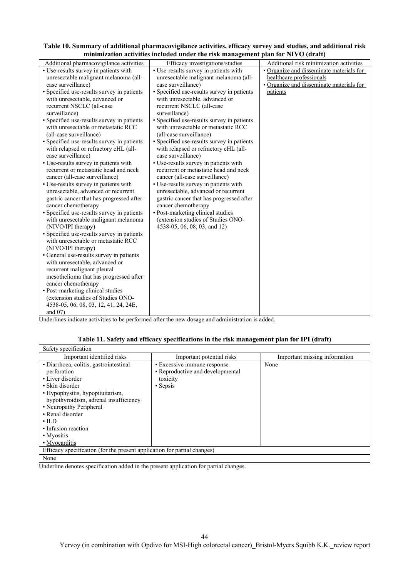| Table 10. Summary of additional pharmacovigilance activities, efficacy survey and studies, and additional risk |  |
|----------------------------------------------------------------------------------------------------------------|--|
| minimization activities included under the risk management plan for NIVO (draft)                               |  |

Underlines indicate activities to be performed after the new dosage and administration is added.

# **Table 11. Safety and efficacy specifications in the risk management plan for IPI (draft)**

| Safety specification                                                     |                                  |                               |
|--------------------------------------------------------------------------|----------------------------------|-------------------------------|
| Important identified risks                                               | Important potential risks        | Important missing information |
| • Diarrhoea, colitis, gastrointestinal                                   | • Excessive immune response      | None                          |
| perforation                                                              | • Reproductive and developmental |                               |
| • Liver disorder                                                         | toxicity                         |                               |
| • Skin disorder                                                          | • Sepsis                         |                               |
| • Hypophysitis, hypopituitarism,                                         |                                  |                               |
| hypothyroidism, adrenal insufficiency                                    |                                  |                               |
| • Neuropathy Peripheral                                                  |                                  |                               |
| • Renal disorder                                                         |                                  |                               |
| $\cdot$ ILD                                                              |                                  |                               |
| • Infusion reaction                                                      |                                  |                               |
| • Myositis                                                               |                                  |                               |
| • Myocarditis                                                            |                                  |                               |
| Efficacy specification (for the present application for partial changes) |                                  |                               |
| None                                                                     |                                  |                               |

Underline denotes specification added in the present application for partial changes.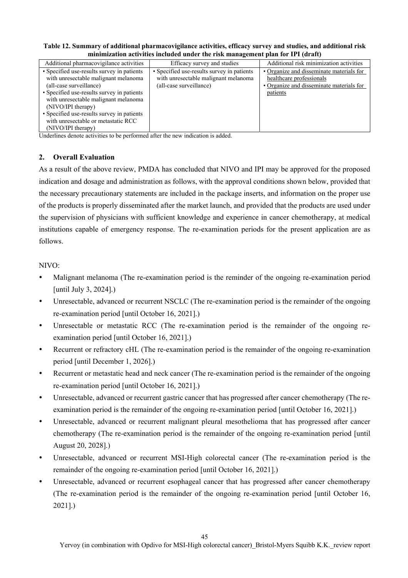| minimization activities included under the risk management plan for IPI (draft)                                                                                                                                                                                                                                                      |                                                                                                               |                                                                                                                              |  |
|--------------------------------------------------------------------------------------------------------------------------------------------------------------------------------------------------------------------------------------------------------------------------------------------------------------------------------------|---------------------------------------------------------------------------------------------------------------|------------------------------------------------------------------------------------------------------------------------------|--|
| Additional pharmacovigilance activities                                                                                                                                                                                                                                                                                              | Efficacy survey and studies                                                                                   | Additional risk minimization activities                                                                                      |  |
| • Specified use-results survey in patients<br>with unresectable malignant melanoma<br>(all-case surveillance)<br>• Specified use-results survey in patients<br>with unresectable malignant melanoma<br>(NIVO/IPI therapy)<br>• Specified use-results survey in patients<br>with unresectable or metastatic RCC<br>(NIVO/IPI therapy) | • Specified use-results survey in patients<br>with unresectable malignant melanoma<br>(all-case surveillance) | • Organize and disseminate materials for<br>healthcare professionals<br>• Organize and disseminate materials for<br>patients |  |

**Table 12. Summary of additional pharmacovigilance activities, efficacy survey and studies, and additional risk minimization activities included under the risk management plan for IPI (draft)** 

Underlines denote activities to be performed after the new indication is added.

### **2. Overall Evaluation**

As a result of the above review, PMDA has concluded that NIVO and IPI may be approved for the proposed indication and dosage and administration as follows, with the approval conditions shown below, provided that the necessary precautionary statements are included in the package inserts, and information on the proper use of the products is properly disseminated after the market launch, and provided that the products are used under the supervision of physicians with sufficient knowledge and experience in cancer chemotherapy, at medical institutions capable of emergency response. The re-examination periods for the present application are as follows.

#### NIVO:

- Malignant melanoma (The re-examination period is the reminder of the ongoing re-examination period [until July 3, 2024].)
- Unresectable, advanced or recurrent NSCLC (The re-examination period is the remainder of the ongoing re-examination period [until October 16, 2021].)
- Unresectable or metastatic RCC (The re-examination period is the remainder of the ongoing reexamination period [until October 16, 2021].)
- Recurrent or refractory cHL (The re-examination period is the remainder of the ongoing re-examination period [until December 1, 2026].)
- Recurrent or metastatic head and neck cancer (The re-examination period is the remainder of the ongoing re-examination period [until October 16, 2021].)
- Unresectable, advanced or recurrent gastric cancer that has progressed after cancer chemotherapy (The reexamination period is the remainder of the ongoing re-examination period [until October 16, 2021].)
- Unresectable, advanced or recurrent malignant pleural mesothelioma that has progressed after cancer chemotherapy (The re-examination period is the remainder of the ongoing re-examination period [until August 20, 2028].)
- Unresectable, advanced or recurrent MSI-High colorectal cancer (The re-examination period is the remainder of the ongoing re-examination period [until October 16, 2021].)
- Unresectable, advanced or recurrent esophageal cancer that has progressed after cancer chemotherapy (The re-examination period is the remainder of the ongoing re-examination period [until October 16, 2021].)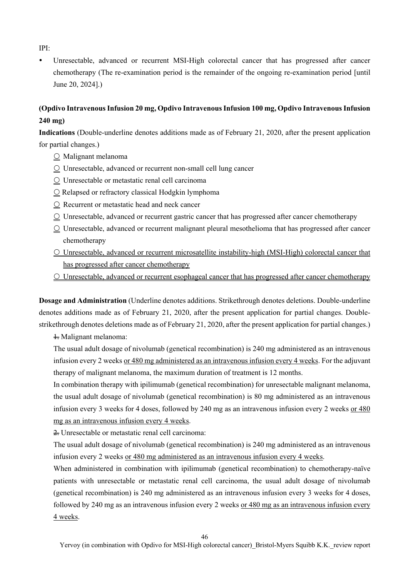IPI:

 Unresectable, advanced or recurrent MSI-High colorectal cancer that has progressed after cancer chemotherapy (The re-examination period is the remainder of the ongoing re-examination period [until June 20, 2024].)

# **(Opdivo Intravenous Infusion 20 mg, Opdivo Intravenous Infusion 100 mg, Opdivo Intravenous Infusion 240 mg)**

**Indications** (Double-underline denotes additions made as of February 21, 2020, after the present application for partial changes.)

- $\circlearrowright$  Malignant melanoma
- $\circlearrowright$  Unresectable, advanced or recurrent non-small cell lung cancer
- $\Omega$  Unresectable or metastatic renal cell carcinoma
- O Relapsed or refractory classical Hodgkin lymphoma
- O Recurrent or metastatic head and neck cancer
- $\Omega$  Unresectable, advanced or recurrent gastric cancer that has progressed after cancer chemotherapy
- $\Omega$  Unresectable, advanced or recurrent malignant pleural mesothelioma that has progressed after cancer chemotherapy
- Unresectable, advanced or recurrent microsatellite instability-high (MSI-High) colorectal cancer that has progressed after cancer chemotherapy
- Unresectable, advanced or recurrent esophageal cancer that has progressed after cancer chemotherapy

**Dosage and Administration** (Underline denotes additions. Strikethrough denotes deletions. Double-underline denotes additions made as of February 21, 2020, after the present application for partial changes. Doublestrikethrough denotes deletions made as of February 21, 2020, after the present application for partial changes.)

 $\pm$  Malignant melanoma:

The usual adult dosage of nivolumab (genetical recombination) is 240 mg administered as an intravenous infusion every 2 weeks or 480 mg administered as an intravenous infusion every 4 weeks. For the adjuvant therapy of malignant melanoma, the maximum duration of treatment is 12 months.

In combination therapy with ipilimumab (genetical recombination) for unresectable malignant melanoma, the usual adult dosage of nivolumab (genetical recombination) is 80 mg administered as an intravenous infusion every 3 weeks for 4 doses, followed by 240 mg as an intravenous infusion every 2 weeks or 480 mg as an intravenous infusion every 4 weeks.

2. Unresectable or metastatic renal cell carcinoma:

The usual adult dosage of nivolumab (genetical recombination) is 240 mg administered as an intravenous infusion every 2 weeks or 480 mg administered as an intravenous infusion every 4 weeks.

When administered in combination with ipilimumab (genetical recombination) to chemotherapy-naïve patients with unresectable or metastatic renal cell carcinoma, the usual adult dosage of nivolumab (genetical recombination) is 240 mg administered as an intravenous infusion every 3 weeks for 4 doses, followed by 240 mg as an intravenous infusion every 2 weeks or 480 mg as an intravenous infusion every 4 weeks.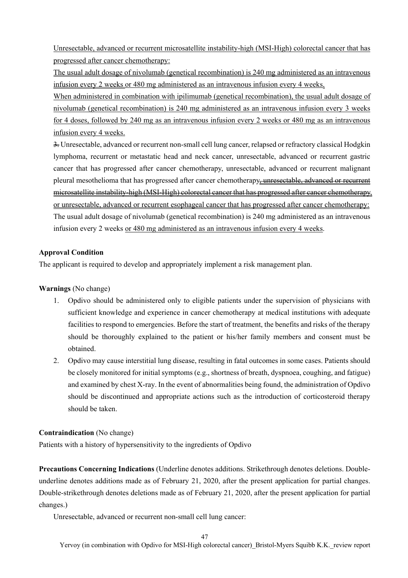Unresectable, advanced or recurrent microsatellite instability-high (MSI-High) colorectal cancer that has progressed after cancer chemotherapy:

The usual adult dosage of nivolumab (genetical recombination) is 240 mg administered as an intravenous infusion every 2 weeks or 480 mg administered as an intravenous infusion every 4 weeks.

When administered in combination with ipilimumab (genetical recombination), the usual adult dosage of nivolumab (genetical recombination) is 240 mg administered as an intravenous infusion every 3 weeks for 4 doses, followed by 240 mg as an intravenous infusion every 2 weeks or 480 mg as an intravenous infusion every 4 weeks.

 $\frac{3}{2}$ . Unresectable, advanced or recurrent non-small cell lung cancer, relapsed or refractory classical Hodgkin lymphoma, recurrent or metastatic head and neck cancer, unresectable, advanced or recurrent gastric cancer that has progressed after cancer chemotherapy, unresectable, advanced or recurrent malignant pleural mesothelioma that has progressed after cancer chemotherapy, unresectable, advanced or recurrent microsatellite instability-high (MSI-High) colorectal cancer that has progressed after cancer chemotherapy, or unresectable, advanced or recurrent esophageal cancer that has progressed after cancer chemotherapy: The usual adult dosage of nivolumab (genetical recombination) is 240 mg administered as an intravenous infusion every 2 weeks or 480 mg administered as an intravenous infusion every 4 weeks.

### **Approval Condition**

The applicant is required to develop and appropriately implement a risk management plan.

### **Warnings** (No change)

- 1. Opdivo should be administered only to eligible patients under the supervision of physicians with sufficient knowledge and experience in cancer chemotherapy at medical institutions with adequate facilities to respond to emergencies. Before the start of treatment, the benefits and risks of the therapy should be thoroughly explained to the patient or his/her family members and consent must be obtained.
- 2. Opdivo may cause interstitial lung disease, resulting in fatal outcomes in some cases. Patients should be closely monitored for initial symptoms (e.g., shortness of breath, dyspnoea, coughing, and fatigue) and examined by chest X-ray. In the event of abnormalities being found, the administration of Opdivo should be discontinued and appropriate actions such as the introduction of corticosteroid therapy should be taken.

### **Contraindication** (No change)

Patients with a history of hypersensitivity to the ingredients of Opdivo

**Precautions Concerning Indications** (Underline denotes additions. Strikethrough denotes deletions. Doubleunderline denotes additions made as of February 21, 2020, after the present application for partial changes. Double-strikethrough denotes deletions made as of February 21, 2020, after the present application for partial changes.)

Unresectable, advanced or recurrent non-small cell lung cancer: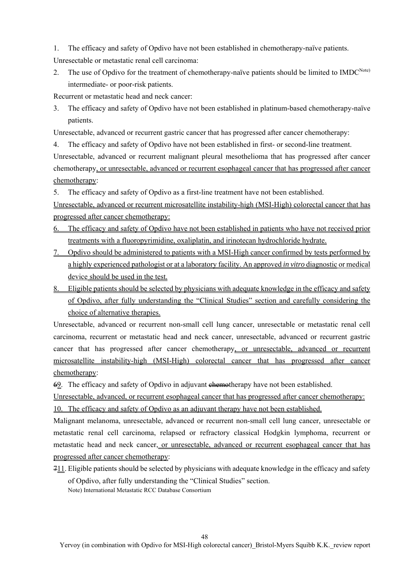1. The efficacy and safety of Opdivo have not been established in chemotherapy-naïve patients.

Unresectable or metastatic renal cell carcinoma:

2. The use of Opdivo for the treatment of chemotherapy-naïve patients should be limited to IMDC<sup>Note)</sup> intermediate- or poor-risk patients.

Recurrent or metastatic head and neck cancer:

3. The efficacy and safety of Opdivo have not been established in platinum-based chemotherapy-naïve patients.

Unresectable, advanced or recurrent gastric cancer that has progressed after cancer chemotherapy:

4. The efficacy and safety of Opdivo have not been established in first- or second-line treatment.

Unresectable, advanced or recurrent malignant pleural mesothelioma that has progressed after cancer chemotherapy, or unresectable, advanced or recurrent esophageal cancer that has progressed after cancer chemotherapy:

5. The efficacy and safety of Opdivo as a first-line treatment have not been established.

Unresectable, advanced or recurrent microsatellite instability-high (MSI-High) colorectal cancer that has progressed after cancer chemotherapy:

- 6. The efficacy and safety of Opdivo have not been established in patients who have not received prior treatments with a fluoropyrimidine, oxaliplatin, and irinotecan hydrochloride hydrate.
- 7. Opdivo should be administered to patients with a MSI-High cancer confirmed by tests performed by a highly experienced pathologist or at a laboratory facility. An approved *in vitro* diagnostic or medical device should be used in the test.
- 8. Eligible patients should be selected by physicians with adequate knowledge in the efficacy and safety of Opdivo, after fully understanding the "Clinical Studies" section and carefully considering the choice of alternative therapies.

Unresectable, advanced or recurrent non-small cell lung cancer, unresectable or metastatic renal cell carcinoma, recurrent or metastatic head and neck cancer, unresectable, advanced or recurrent gastric cancer that has progressed after cancer chemotherapy, or unresectable, advanced or recurrent microsatellite instability-high (MSI-High) colorectal cancer that has progressed after cancer chemotherapy:

69. The efficacy and safety of Opdivo in adjuvant enterproduced have not been established.

Unresectable, advanced, or recurrent esophageal cancer that has progressed after cancer chemotherapy: 10. The efficacy and safety of Opdivo as an adjuvant therapy have not been established.

Malignant melanoma, unresectable, advanced or recurrent non-small cell lung cancer, unresectable or metastatic renal cell carcinoma, relapsed or refractory classical Hodgkin lymphoma, recurrent or metastatic head and neck cancer, or unresectable, advanced or recurrent esophageal cancer that has progressed after cancer chemotherapy:

 $711$ . Eligible patients should be selected by physicians with adequate knowledge in the efficacy and safety of Opdivo, after fully understanding the "Clinical Studies" section. Note) International Metastatic RCC Database Consortium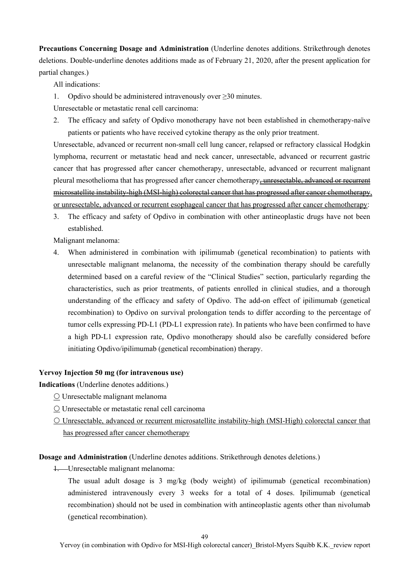**Precautions Concerning Dosage and Administration** (Underline denotes additions. Strikethrough denotes deletions. Double-underline denotes additions made as of February 21, 2020, after the present application for partial changes.)

All indications:

1. Opdivo should be administered intravenously over  $\geq 30$  minutes.

Unresectable or metastatic renal cell carcinoma:

2. The efficacy and safety of Opdivo monotherapy have not been established in chemotherapy-naïve patients or patients who have received cytokine therapy as the only prior treatment.

Unresectable, advanced or recurrent non-small cell lung cancer, relapsed or refractory classical Hodgkin lymphoma, recurrent or metastatic head and neck cancer, unresectable, advanced or recurrent gastric cancer that has progressed after cancer chemotherapy, unresectable, advanced or recurrent malignant pleural mesothelioma that has progressed after cancer chemotherapy, unresectable, advanced or recurrent microsatellite instability-high (MSI-high) colorectal cancer that has progressed after cancer chemotherapy, or unresectable, advanced or recurrent esophageal cancer that has progressed after cancer chemotherapy:

3. The efficacy and safety of Opdivo in combination with other antineoplastic drugs have not been established.

Malignant melanoma:

4. When administered in combination with ipilimumab (genetical recombination) to patients with unresectable malignant melanoma, the necessity of the combination therapy should be carefully determined based on a careful review of the "Clinical Studies" section, particularly regarding the characteristics, such as prior treatments, of patients enrolled in clinical studies, and a thorough understanding of the efficacy and safety of Opdivo. The add-on effect of ipilimumab (genetical recombination) to Opdivo on survival prolongation tends to differ according to the percentage of tumor cells expressing PD-L1 (PD-L1 expression rate). In patients who have been confirmed to have a high PD-L1 expression rate, Opdivo monotherapy should also be carefully considered before initiating Opdivo/ipilimumab (genetical recombination) therapy.

### **Yervoy Injection 50 mg (for intravenous use)**

**Indications** (Underline denotes additions.)

- Unresectable malignant melanoma
- Unresectable or metastatic renal cell carcinoma
- Unresectable, advanced or recurrent microsatellite instability-high (MSI-High) colorectal cancer that has progressed after cancer chemotherapy

**Dosage and Administration** (Underline denotes additions. Strikethrough denotes deletions.)

1. Unresectable malignant melanoma:

The usual adult dosage is 3 mg/kg (body weight) of ipilimumab (genetical recombination) administered intravenously every 3 weeks for a total of 4 doses. Ipilimumab (genetical recombination) should not be used in combination with antineoplastic agents other than nivolumab (genetical recombination).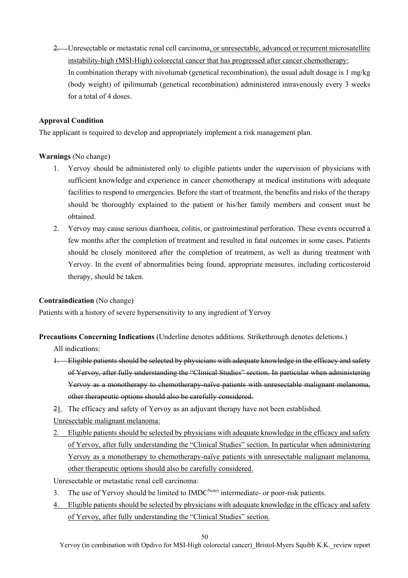2. Unresectable or metastatic renal cell carcinoma, or unresectable, advanced or recurrent microsatellite instability-high (MSI-High) colorectal cancer that has progressed after cancer chemotherapy: In combination therapy with nivolumab (genetical recombination), the usual adult dosage is 1 mg/kg (body weight) of ipilimumab (genetical recombination) administered intravenously every 3 weeks for a total of 4 doses.

### **Approval Condition**

The applicant is required to develop and appropriately implement a risk management plan.

### **Warnings** (No change)

- 1. Yervoy should be administered only to eligible patients under the supervision of physicians with sufficient knowledge and experience in cancer chemotherapy at medical institutions with adequate facilities to respond to emergencies. Before the start of treatment, the benefits and risks of the therapy should be thoroughly explained to the patient or his/her family members and consent must be obtained.
- 2. Yervoy may cause serious diarrhoea, colitis, or gastrointestinal perforation. These events occurred a few months after the completion of treatment and resulted in fatal outcomes in some cases. Patients should be closely monitored after the completion of treatment, as well as during treatment with Yervoy. In the event of abnormalities being found, appropriate measures, including corticosteroid therapy, should be taken.

#### **Contraindication** (No change)

Patients with a history of severe hypersensitivity to any ingredient of Yervoy

**Precautions Concerning Indications** (Underline denotes additions. Strikethrough denotes deletions.)

All indications:

- 1. Eligible patients should be selected by physicians with adequate knowledge in the efficacy and safety of Yervoy, after fully understanding the "Clinical Studies" section. In particular when administering Yervoy as a monotherapy to chemotherapy-naïve patients with unresectable malignant melanoma, other therapeutic options should also be carefully considered.
- 21. The efficacy and safety of Yervoy as an adjuvant therapy have not been established.

Unresectable malignant melanoma:

- 2. Eligible patients should be selected by physicians with adequate knowledge in the efficacy and safety of Yervoy, after fully understanding the "Clinical Studies" section. In particular when administering Yervoy as a monotherapy to chemotherapy-naïve patients with unresectable malignant melanoma, other therapeutic options should also be carefully considered.
- Unresectable or metastatic renal cell carcinoma:
- The use of Yervoy should be limited to IMDC<sup>Note)</sup> intermediate- or poor-risk patients.
- 4. Eligible patients should be selected by physicians with adequate knowledge in the efficacy and safety of Yervoy, after fully understanding the "Clinical Studies" section.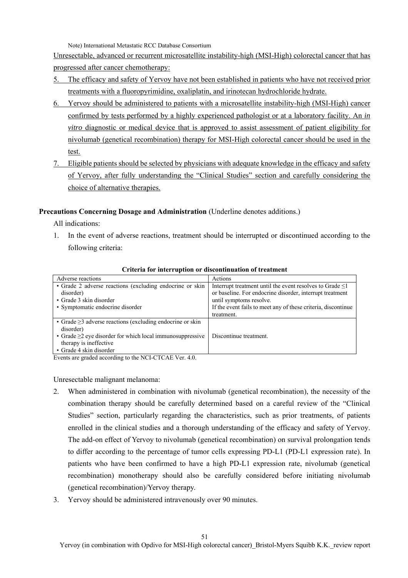Note) International Metastatic RCC Database Consortium

Unresectable, advanced or recurrent microsatellite instability-high (MSI-High) colorectal cancer that has progressed after cancer chemotherapy:

- 5. The efficacy and safety of Yervoy have not been established in patients who have not received prior treatments with a fluoropyrimidine, oxaliplatin, and irinotecan hydrochloride hydrate.
- 6. Yervoy should be administered to patients with a microsatellite instability-high (MSI-High) cancer confirmed by tests performed by a highly experienced pathologist or at a laboratory facility. An *in vitro* diagnostic or medical device that is approved to assist assessment of patient eligibility for nivolumab (genetical recombination) therapy for MSI-High colorectal cancer should be used in the test.
- 7. Eligible patients should be selected by physicians with adequate knowledge in the efficacy and safety of Yervoy, after fully understanding the "Clinical Studies" section and carefully considering the choice of alternative therapies.

### **Precautions Concerning Dosage and Administration** (Underline denotes additions.)

All indications:

1. In the event of adverse reactions, treatment should be interrupted or discontinued according to the following criteria:

| Adverse reactions                                               | Actions                                                        |
|-----------------------------------------------------------------|----------------------------------------------------------------|
| • Grade 2 adverse reactions (excluding endocrine or skin        | Interrupt treatment until the event resolves to Grade $\leq 1$ |
| disorder)                                                       | or baseline. For endocrine disorder, interrupt treatment       |
| • Grade 3 skin disorder                                         | until symptoms resolve.                                        |
| • Symptomatic endocrine disorder                                | If the event fails to meet any of these criteria, discontinue  |
|                                                                 | treatment.                                                     |
| • Grade $\geq$ 3 adverse reactions (excluding endocrine or skin |                                                                |
| disorder)                                                       |                                                                |
| • Grade $\geq$ 2 eye disorder for which local immunosuppressive | Discontinue treatment.                                         |
| therapy is ineffective                                          |                                                                |
| • Grade 4 skin disorder                                         |                                                                |

#### **Criteria for interruption or discontinuation of treatment**

Events are graded according to the NCI-CTCAE Ver. 4.0.

Unresectable malignant melanoma:

- 2. When administered in combination with nivolumab (genetical recombination), the necessity of the combination therapy should be carefully determined based on a careful review of the "Clinical Studies" section, particularly regarding the characteristics, such as prior treatments, of patients enrolled in the clinical studies and a thorough understanding of the efficacy and safety of Yervoy. The add-on effect of Yervoy to nivolumab (genetical recombination) on survival prolongation tends to differ according to the percentage of tumor cells expressing PD-L1 (PD-L1 expression rate). In patients who have been confirmed to have a high PD-L1 expression rate, nivolumab (genetical recombination) monotherapy should also be carefully considered before initiating nivolumab (genetical recombination)/Yervoy therapy.
- 3. Yervoy should be administered intravenously over 90 minutes.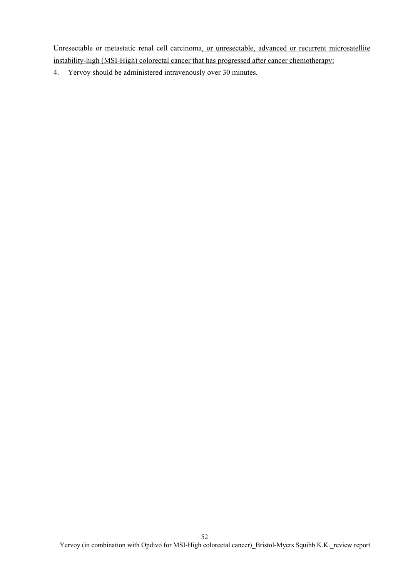Unresectable or metastatic renal cell carcinoma, or unresectable, advanced or recurrent microsatellite instability-high (MSI-High) colorectal cancer that has progressed after cancer chemotherapy:

4. Yervoy should be administered intravenously over 30 minutes.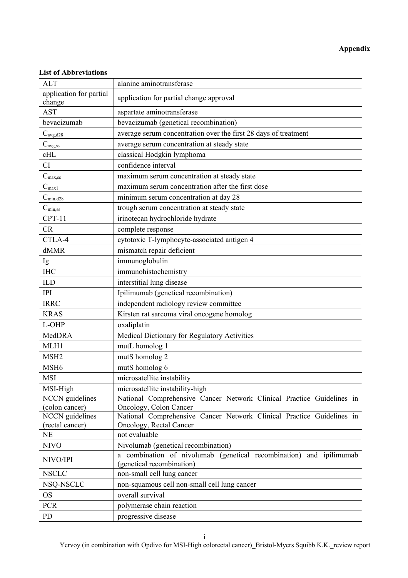# **Appendix**

## **List of Abbreviations**

| <b>ALT</b>                        | alanine aminotransferase                                                                         |
|-----------------------------------|--------------------------------------------------------------------------------------------------|
| application for partial<br>change | application for partial change approval                                                          |
| <b>AST</b>                        | aspartate aminotransferase                                                                       |
| bevacizumab                       | bevacizumab (genetical recombination)                                                            |
| $C_{\text{avg,d28}}$              | average serum concentration over the first 28 days of treatment                                  |
| $C_{\text{avg,ss}}$               | average serum concentration at steady state                                                      |
| cHL                               | classical Hodgkin lymphoma                                                                       |
| CI                                | confidence interval                                                                              |
| $C_{\rm max, ss}$                 | maximum serum concentration at steady state                                                      |
| $C_{max1}$                        | maximum serum concentration after the first dose                                                 |
| $C_{\text{min,d28}}$              | minimum serum concentration at day 28                                                            |
| $C_{\text{min,ss}}$               | trough serum concentration at steady state                                                       |
| $CPT-11$                          | irinotecan hydrochloride hydrate                                                                 |
| CR                                | complete response                                                                                |
| CTLA-4                            | cytotoxic T-lymphocyte-associated antigen 4                                                      |
| dMMR                              | mismatch repair deficient                                                                        |
| Ig                                | immunoglobulin                                                                                   |
| <b>IHC</b>                        | immunohistochemistry                                                                             |
| <b>ILD</b>                        | interstitial lung disease                                                                        |
| <b>IPI</b>                        | Ipilimumab (genetical recombination)                                                             |
| <b>IRRC</b>                       | independent radiology review committee                                                           |
| <b>KRAS</b>                       | Kirsten rat sarcoma viral oncogene homolog                                                       |
| L-OHP                             | oxaliplatin                                                                                      |
| MedDRA                            | Medical Dictionary for Regulatory Activities                                                     |
| MLH1                              | mutL homolog 1                                                                                   |
| MSH <sub>2</sub>                  | mutS homolog 2                                                                                   |
| MSH <sub>6</sub>                  | mutS homolog 6                                                                                   |
| <b>MSI</b>                        | microsatellite instability                                                                       |
| MSI-High                          | microsatellite instability-high                                                                  |
| <b>NCCN</b> guidelines            | National Comprehensive Cancer Network Clinical Practice Guidelines in                            |
| (colon cancer)                    | Oncology, Colon Cancer                                                                           |
| <b>NCCN</b> guidelines            | National Comprehensive Cancer Network Clinical Practice Guidelines in                            |
| (rectal cancer)                   | Oncology, Rectal Cancer                                                                          |
| <b>NE</b>                         | not evaluable                                                                                    |
| <b>NIVO</b>                       | Nivolumab (genetical recombination)                                                              |
| NIVO/IPI                          | a combination of nivolumab (genetical recombination) and ipilimumab<br>(genetical recombination) |
| <b>NSCLC</b>                      | non-small cell lung cancer                                                                       |
| NSQ-NSCLC                         | non-squamous cell non-small cell lung cancer                                                     |
| <b>OS</b>                         | overall survival                                                                                 |
| <b>PCR</b>                        | polymerase chain reaction                                                                        |
| PD                                | progressive disease                                                                              |

Yervoy (in combination with Opdivo for MSI-High colorectal cancer) Bristol-Myers Squibb K.K. review report